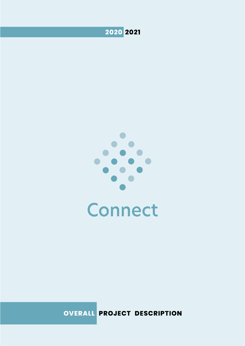



OVERALL PROJECT DESCRIPTION

PO.Box 461 Facebook.com/norecno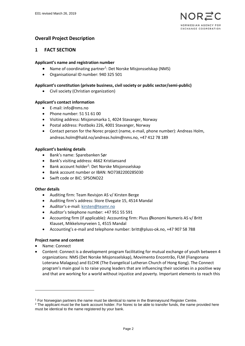

# **Overall Project Description**

### **1 FACT SECTION**

#### **Applicant's name and registration number**

- Name of coordinating partner<sup>1</sup>: Det Norske Misjonsselskap (NMS)
- Organisational ID number: 940 325 501

#### **Applicant's constitution (private business, civil society or public sector/semi-public)**

• Civil society (Christian organization)

#### **Applicant's contact information**

- E-mail: info@nms.no
- Phone number: 51 51 61 00
- Visiting address: Misjonsmarka 1, 4024 Stavanger, Norway
- Postal address: Postboks 226, 4001 Stavanger, Norway
- Contact person for the Norec project (name, e-mail, phone number): Andreas Holm, andreas.holm@hald.no/andreas.holm@nms.no, +47 412 78 189

#### **Applicant's banking details**

- Bank's name: Sparebanken Sør
- Bank's visiting address: 4662 Kristiansand
- Bank account holder<sup>2</sup>: Det Norske Misjonsselskap
- Bank account number or IBAN: NO7382200285030
- Swift code or BIC: SPSONO22

#### **Other details**

- Auditing firm: Team Revisjon AS v/ Kirsten Berge
- Auditing firm's address: Store Elvegate 15, 4514 Mandal
- Auditor's e-mail[: kirsten@teamr.no](mailto:kirsten@teamr.no)
- Auditor's telephone number: +47 951 55 591
- Accounting firm (if applicable): Accounting firm: Pluss Økonomi Numeris AS v/ Britt Klauset, Mikkelsmyrveien 1, 4515 Mandal
- Accounting's e-mail and telephone number: britt@pluss-ok.no, +47 907 58 788

#### **Project name and content**

• Name: Connect

-

• Content: Connect is a development program facilitating for mutual exchange of youth between 4 organizations: NMS (Det Norske Misjonsselskap), Movimento Encontrão, FLM (Fiangonana Loterana Malagasy) and ELCHK (The Evangelical Lutheran Church of Hong Kong). The Connect program's main goal is to raise young leaders that are influencing their societies in a positive way and that are working for a world without injustice and poverty. Important elements to reach this

<sup>1</sup> For Norwegian partners the name must be identical to name in the Brønnøysund Register Centre.

<sup>&</sup>lt;sup>2</sup> The applicant must be the bank account holder. For Norec to be able to transfer funds, the name provided here must be identical to the name registered by your bank.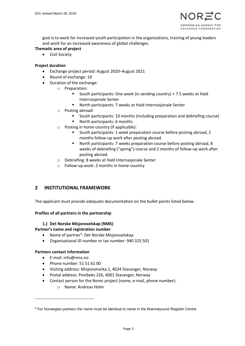

goal is to work for increased youth participation in the organizations, training of young leaders and work for an increased awareness of global challenges.

- **Thematic area of project**
	- Civil Society

#### **Project duration**

- Exchange project period: August 2020–August 2021
- Round of exchange: 18
- Duration of the exchange:
	- o Preparation:
		- South participants: One week (in sending country) + 7.5 weeks at Hald Internasjonale Senter
		- North participants: 7 weeks at Hald Internasjonale Senter
	- o Posting abroad:
		- South participants: 10 months (including preparation and debriefing course)
		- North participants: 6 months
	- o Posting in home country (if applicable):
		- South participants: 1 week preparation course before posting abroad, 2 months follow-up work after posting abroad.
		- North participants: 7 weeks preparation course before posting abroad, 8 weeks of debriefing ("spring") course and 2 months of follow-up work after posting abroad.
	- o Debriefing: 8 weeks at Hald Internasjonale Senter
	- o Follow-up work: 2 months in home-country

# **2 INSTITUTIONAL FRAMEWORK**

The applicant must provide adequate documentation on the bullet points listed below.

#### **Profiles of all partners in the partnership**

#### **1.) Det Norske Misjonsselskap (NMS)**

**Partner's name and registration number**

- Name of partner<sup>3</sup>: Det Norske Misjonsselskap
- Organisational ID number or tax number: 940 325 501

#### **Partners contact information**

-

- E-mail: info@nms.no
- Phone number: 51 51 61 00
- Visiting address: Misjonsmarka 1, 4024 Stavanger, Norway
- Postal address: Postboks 226, 4001 Stavanger, Norway
- Contact person for the Norec project (name, e-mail, phone number):
	- o Name: Andreas Holm

 $3$  For Norwegian partners the name must be identical to name in the Brønnøysund Register Centre.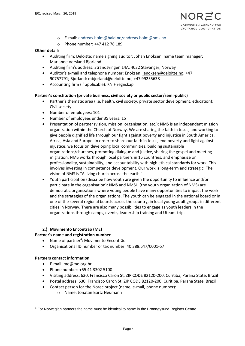- o E-mail[: andreas.holm@hald.no/andreas.holm@nms.no](mailto:andreas.holm@hald.no/andreas.holm@nms.no)
- o Phone number: +47 412 78 189

#### **Other details**

- Auditing firm: Deloitte; name signing auditor: Johan Enoksen; name team manager: Marianne Versland Bjorland
- Auditing firm's address: Strandsvingen 14A, 4032 Stavanger, Norway
- Auditor's e-mail and telephone number: Enoksen: [jenoksen@deloitte.no,](mailto:jenoksen@deloitte.no) +47 90757791; Bjorland: [mbjorland@deloitte.no,](mailto:mbjorland@deloitte.no) +47 99255638
- Accounting firm (if applicable): KNIF regnskap

#### **Partner's constitution (private business, civil society or public sector/semi-public)**

- Partner's thematic area (i.e. health, civil society, private sector development, education): Civil society
- Number of employees: 101
- Number of employees under 35 years: 15
- Presentation of partner (vision, mission, organisation, etc.): NMS is an independent mission organization within the Church of Norway. We are sharing the faith in Jesus, and working to give people dignified life through our fight against poverty and injustice in South America, Africa, Asia and Europe. In order to share our faith in Jesus, end poverty and fight against injustice, we focus on developing local communities, building sustainable organizations/churches, promoting dialogue and justice, sharing the gospel and meeting migration. NMS works through local partners in 15 countries, and emphasize on professionality, sustainability, and accountability with high ethical standards for work. This involves investing in competence development. Our work is long-term and strategic. The vision of NMS is "A living church across the earth."
- Youth participation (describe how youth are given the opportunity to influence and/or participate in the organisation): NMS and NMSU (the youth organization of NMS) are democratic organizations where young people have many opportunities to impact the work and the strategies of the organizations. The youth can be engaged in the national board or in one of the several regional boards across the country, in local young adult groups in different cities in Norway. There are also many possibilities to engage as youth leaders in the organizations through camps, events, leadership training and Uteam-trips.

#### **2.) Movimento Encontrão (ME)**

#### **Partner's name and registration number**

- Name of partner<sup>4</sup>: Movimento Encontrão
- Organisational ID number or tax number: 40.388.647/0001-57

#### **Partners contact information**

-

- E-mail: me@me.org.br
- Phone number: +55 41 3302 5100
- Visiting address: 630, Francisco Caron St, ZIP CODE 82120-200, Curitiba, Parana State, Brazil
- Postal address: 630, Francisco Caron St, ZIP CODE 82120-200, Curitiba, Parana State, Brazil
	- Contact person for the Norec project (name, e-mail, phone number):

o Name: Jonatan Bartz Neumann

<sup>4</sup> For Norwegian partners the name must be identical to name in the Brønnøysund Register Centre.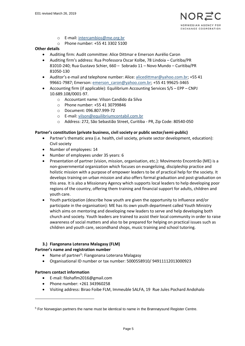- o E-mail[: intercambios@me.org.br](mailto:intercambios@me.org.br)
- o Phone number: +55 41 3302 5100

#### **Other details**

- Auditing firm: Audit committee: Alice Dittmar e Emerson Aurélio Caron
- Auditing firm's address: Rua Professora Oscar Kolbe, 78 Lindoia Curitiba/PR 81010-240; Rua Gustavo Schier, 660 – Sobrado 11 – Novo Mundo – Curitiba/PR 81050-130
- Auditor's e-mail and telephone number: Alice: [alicedittmar@yahoo.com.br;](mailto:alicedittmar@yahoo.com.br) +55 41 99661-7987; Emerson: [emerson\\_caron@yahoo.com.br;](mailto:emerson_caron@yahoo.com.br) +55 41 99625-3465
- Accounting firm (if applicable): Equilibrium Accounting Services S/S EPP CNPJ 10.689.108/0001-97.
	- o Accountant name: Vilson Candido da Silva
	- o Phone number: +55 41 30799846
	- o Document: 096.807.999-72
	- o E-mail[: vilson@equilibriumcontabil.com.br](mailto:vilson@equilibriumcontabil.com.br)
	- o Address: 272, São Sebastião Street, Curitiba PR, Zip Code: 80540-050

#### **Partner's constitution (private business, civil society or public sector/semi-public)**

- Partner's thematic area (i.e. health, civil society, private sector development, education): Civil society
- Number of employees: 14
- Number of employees under 35 years: 6
- Presentation of partner (vision, mission, organisation, etc.): Movimento Encontrão (ME) is a non-governmental organization which focuses on evangelizing, discipleship practice and holistic mission with a purpose of empower leaders to be of practical help for the society. It develops training on urban mission and also offers formal graduation and post-graduation on this area. It is also a Missionary Agency which supports local leaders to help developing poor regions of the country, offering them training and financial support for adults, children and youth care.
- Youth participation (describe how youth are given the opportunity to influence and/or participate in the organisation): ME has its own youth department called Youth Ministry which aims on mentoring and developing new leaders to serve and help developing both church and society. Youth leaders are trained to assist their local community in order to raise awareness of social matters and also to be prepared for helping on practical issues such as children and youth care, secondhand shops, music training and school tutoring.

#### **3.) Fiangonana Loterana Malagasy (FLM)**

#### **Partner's name and registration number**

- Name of partner<sup>5</sup>: Fiangonana Loterana Malagasy
- Organisational ID number or tax number: 5000558910/ 94911112013000923

#### **Partners contact information**

-

- E-mail: filohaflm2016@gmail.com
- Phone number: +261 343960258
- Visiting address: Birao Foibe FLM, Immeuble SALFA, 19 Rue Jules Pochard Andohalo

<sup>5</sup> For Norwegian partners the name must be identical to name in the Brønnøysund Register Centre.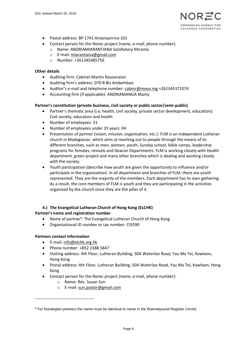

- Postal address: BP 1741 Antanaanrivo 101
- Contact person for the Norec project (name, e-mail, phone number):
	- o Name: ANDRIAMIARANTIANA Solofohery Miranto
	- o E-mail[: miarantiana@gmail.com](mailto:miarantiana@gmail.com)
	- o Number: +261345485756

#### **Other details**

- Auditing firm: Cabinet Martin Rasoanaivo
- Auditing firm's address: 070 B Bis Ambohibao
- Auditor's e-mail and telephone number: [cabmr@moov.mg](mailto:cabmr@moov.mg) +261345371074
- Accounting firm (if applicable): ANDRIAMANGA Mamy

#### **Partner's constitution (private business, civil society or public sector/semi-public)**

- Partner's thematic area (i.e. health, civil society, private sector development, education): Civil society, education and health
- Number of employees: 31
- Number of employees under 35 years: 04
- Presentation of partner (vision, mission, organisation, etc.): FLM is an independent Lutheran church in Madagascar, which aims at reaching out to people through the means of its different branches, such as men, women, youth, Sunday school, bible camps, leadership programs for females, revivals and Deacon Departments. FLM is working closely with Health department, green project and many other branches which is dealing and working closely with the society.
- Youth participation (describe how youth are given the opportunity to influence and/or participate in the organisation): In all department and branches of FLM, there are youth represented. They are the majority of the members. Each department has its own gathering. As a result, the core members of FLM is youth and they are participating in the activities organized by the church since they are the pillar of it.

#### **4.) The Evangelical Lutheran Church of Hong Kong (ELCHK)**

#### **Partner's name and registration number**

- Name of partner<sup>6</sup>: The Evangelical Lutheran Church of Hong Kong
- Organisational ID number or tax number: CI5590

#### **Partners contact information**

-

- E-mail: [info@elchk.org.hk](mailto:info@elchk.org.hk)
- Phone number: +852 2388 5847
- Visiting address: 4th Floor, Lutheran Building, 50A Waterloo Road, Yau Ma Tei, Kowloon, Hong Kong
- Postal address: 4th Floor, Lutheran Building, 50A Waterloo Road, Yau Ma Tei, Kowloon, Hong Kong
- Contact person for the Norec project (name, e-mail, phone number):
	- o Name: Rev. Susan Sun
	- o E-mail[: sun.pastor@gmail.com](mailto:sun.pastor@gmail.com)

 $6$  For Norwegian partners the name must be identical to name in the Brønnøysund Register Centre.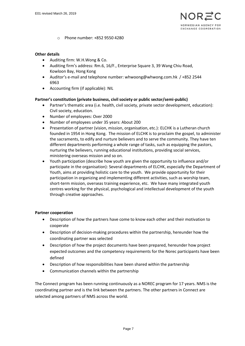o Phone number: +852 9550 4280

#### **Other details**

- Auditing firm: W.H.Wong & Co.
- Auditing firm's address: Rm.6, 16/F., Enterprise Square 3, 39 Wang Chiu Road, Kowloon Bay, Hong Kong
- Auditor's e-mail and telephone number: whwoong@whwong.com.hk / +852 2544 6963
- Accounting firm (if applicable): NIL

#### **Partner's constitution (private business, civil society or public sector/semi-public)**

- Partner's thematic area (i.e. health, civil society, private sector development, education): Civil society, education.
- Number of employees: Over 2000
- Number of employees under 35 years: About 200
- Presentation of partner (vision, mission, organisation, etc.): ELCHK is a Lutheran church founded in 1954 in Hong Kong. The mission of ELCHK is to proclaim the gospel, to administer the sacraments, to edify and nurture believers and to serve the community. They have ten different departments performing a whole range of tasks, such as equipping the pastors, nurturing the believers, running educational institutions, providing social services, ministering overseas mission and so on.
- Youth participation (describe how youth are given the opportunity to influence and/or participate in the organisation): Several departments of ELCHK, especially the Department of Youth, aims at providing holistic care to the youth. We provide opportunity for their participation in organizing and implementing different activities, such as worship team, short-term mission, overseas training experience, etc. We have many integrated youth centres working for the physical, psychological and intellectual development of the youth through creative approaches.

#### **Partner cooperation**

- Description of how the partners have come to know each other and their motivation to cooperate
- Description of decision-making procedures within the partnership, hereunder how the coordinating partner was selected
- Description of how the project documents have been prepared, hereunder how project expected outcomes and the competency requirements for the Norec participants have been defined
- Description of how responsibilities have been shared within the partnership
- Communication channels within the partnership

The Connect program has been running continuously as a NOREC program for 17 years. NMS is the coordinating partner and is the link between the partners. The other partners in Connect are selected among partners of NMS across the world.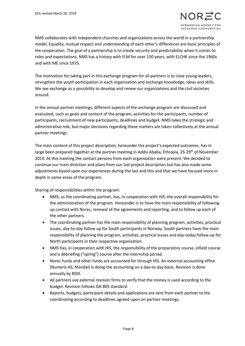# RWEGIAN AGENCY FOR EXCHANGE COOPERATION

NMS collaborates with independent churches and organizations across the world in a partnership model. Equality, mutual respect and understanding of each other's differences are basic principles of the cooperation. The goal of a partnership is to create security and predictability when it comes to roles and expectations. NMS has a history with FLM for over 150 years, with ELCHK since the 1960s and with ME since 1975.

The motivation for taking part in this exchange program for all partners is to raise young leaders, strengthen the youth participation in each organization and exchange knowledge, ideas and skills. We see exchange as a possibility to develop and renew our organizations and the civil societies around.

In the annual partner meetings, different aspects of the exchange program are discussed and evaluated, such as goals and content of the program, activities for the participants, number of participants, recruitment of new participants, deadlines and budget. NMS takes the strategic and administrative role, but major decisions regarding these matters are taken collectively at the annual partner meetings.

The main content of this project description, hereunder the project's expected outcomes, has in large been prepared together at the partner meeting in Addis Ababa, Ethiopia, 25-29<sup>th</sup> of November 2019. At this meeting the contact persons from each organization were present. We decided to continue our main direction and plans from our last project description but has also made some adjustments based upon our experiences during the last and this and that we have focused more in depth in some areas of the program.

Sharing of responsibilities within the program:

- NMS, as the coordinating partner, has, in cooperation with HIS, the overall responsibility for the administration of the program. Hereunder is to have the main responsibility of following up contact with Norec, renewal of the agreements and reporting, and to follow up each of the other partners.
- The coordinating partner has the main responsibility of planning program, activities, practical issues, day-to-day follow up for South participants in Norway. South partners have the main responsibility of planning the program, activities, practical issues and day-today follow-up for North participants in their respective organization.
- NMS has, in cooperation with HIS, the responsibility of the preparatory course, infield course and a debriefing ("spring") course after the internship period.
- Norec funds and other funds are accounted for through HIS. An external accounting office (Numeris AS, Mandal) is doing the accounting on a day-to-day basis. Revision is done annually by BDO.
- All partners use external revision firms to verify that the money is used according to the budget. Revision follows ISA 805 standard.
- Reports, budgets, participant details and applications are sent from each partner to the coordinating according to deadlines agreed upon on partner meetings.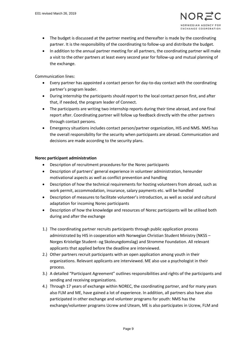- The budget is discussed at the partner meeting and thereafter is made by the coordinating partner. It is the responsibility of the coordinating to follow-up and distribute the budget.
- In addition to the annual partner meeting for all partners, the coordinating partner will make a visit to the other partners at least every second year for follow-up and mutual planning of the exchange.

Communication lines:

- Every partner has appointed a contact person for day-to-day contact with the coordinating partner's program leader.
- During internship the participants should report to the local contact person first, and after that, if needed, the program leader of Connect.
- The participants are writing two internship reports during their time abroad, and one final report after. Coordinating partner will follow up feedback directly with the other partners through contact persons.
- Emergency situations includes contact person/partner organization, HIS and NMS. NMS has the overall responsibility for the security when participants are abroad. Communication and decisions are made according to the security plans.

#### **Norec participant administration**

- Description of recruitment procedures for the Norec participants
- Description of partners' general experience in volunteer administration, hereunder motivational aspects as well as conflict prevention and handling
- Description of how the technical requirements for hosting volunteers from abroad, such as work permit, accommodation, insurance, salary payments etc. will be handled
- Description of measures to facilitate volunteer's introduction, as well as social and cultural adaptation for incoming Norec participants
- Description of how the knowledge and resources of Norec participants will be utilised both during and after the exchange
- 1.) The coordinating partner recruits participants through public application process administrated by HIS in cooperation with Norwegian Christian Student Ministry (NKSS – Norges Kristelige Student- og Skoleungdomslag) and Stromme Foundation. All relevant applicants that applied before the deadline are interviewed.
- 2.) Other partners recruit participants with an open application among youth in their organizations. Relevant applicants are interviewed. ME also use a psychologist in their process.
- 3.) A detailed "Participant Agreement" outlines responsibilities and rights of the participants and sending and receiving organizations.
- 4.) Through 17 years of exchange within NOREC, the coordinating partner, and for many years also FLM and ME, have gained a lot of experience. In addition, all partners also have also participated in other exchange and volunteer programs for youth: NMS has the exchange/volunteer programs Ucrew and Uteam, ME is also participates in Ucrew, FLM and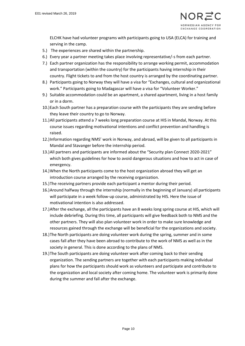ELCHK have had volunteer programs with participants going to USA (ELCA) for training and serving in the camp.

- 5.) The experiences are shared within the partnership.
- 6.) Every year a partner meeting takes place involving representative/-s from each partner.
- 7.) Each partner organization has the responsibility to arrange working permit, accommodation and transportation (within the country) for the participants having internship in their country. Flight tickets to and from the host country is arranged by the coordinating partner.
- 8.) Participants going to Norway they will have a visa for "Exchanges, cultural and organizational work." Participants going to Madagascar will have a visa for "Volunteer Worker."
- 9.) Suitable accommodation could be an apartment, a shared apartment, living in a host family or in a dorm.
- 10.)Each South partner has a preparation course with the participants they are sending before they leave their country to go to Norway.
- 11.)All participants attend a 7 weeks long preparation course at HIS in Mandal, Norway. At this course issues regarding motivational intentions and conflict prevention and handling is raised.
- 12.)Information regarding NMS' work in Norway, and abroad, will be given to all participants in Mandal and Stavanger before the internship period.
- 13.)All partners and participants are informed about the "Security plan Connect 2020-2021" which both gives guidelines for how to avoid dangerous situations and how to act in case of emergency.
- 14.)When the North participants come to the host organization abroad they will get an introduction course arranged by the receiving organization.
- 15.)The receiving partners provide each participant a mentor during their period.
- 16.)Around halfway through the internship (normally in the beginning of January) all participants will participate in a week follow-up course, administrated by HIS. Here the issue of motivational intention is also addressed.
- 17.)After the exchange, all the participants have an 8 weeks long spring course at HIS, which will include debriefing. During this time, all participants will give feedback both to NMS and the other partners. They will also plan volunteer work in order to make sure knowledge and resources gained through the exchange will be beneficial for the organizations and society.
- 18.)The North participants are doing volunteer work during the spring, summer and in some cases fall after they have been abroad to contribute to the work of NMS as well as in the society in general. This is done according to the plans of NMS.
- 19.)The South participants are doing volunteer work after coming back to their sending organization. The sending partners are together with each participants making individual plans for how the participants should work as volunteers and participate and contribute to the organization and local society after coming home. The volunteer work is primarily done during the summer and fall after the exchange.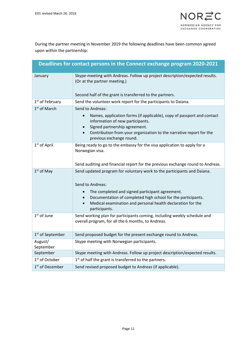During the partner meeting in November 2019 the following deadlines have been common agreed upon within the partnership:

|                              | Deadlines for contact persons in the Connect exchange program 2020-2021                                                                                                                                                                                                                        |  |  |  |  |
|------------------------------|------------------------------------------------------------------------------------------------------------------------------------------------------------------------------------------------------------------------------------------------------------------------------------------------|--|--|--|--|
| January                      | Skype-meeting with Andreas. Follow up project description/expected results.<br>(Or at the partner meeting.)                                                                                                                                                                                    |  |  |  |  |
|                              | Second half of the grant is transferred to the partners.                                                                                                                                                                                                                                       |  |  |  |  |
| 1 <sup>st</sup> of February  | Send the volunteer work report for the participants to Daiana.                                                                                                                                                                                                                                 |  |  |  |  |
| 1 <sup>st</sup> of March     | Send to Andreas:<br>Names, application forms (if applicable), copy of passport and contact<br>$\bullet$<br>information of new participants.<br>Signed partnership agreement.<br>Contribution from your organization to the narrative report for the<br>$\bullet$<br>previous exchange round.   |  |  |  |  |
| 1 <sup>st</sup> of April     | Being ready to go to the embassy for the visa application to apply for a<br>Norwegian visa.<br>Send auditing and financial report for the previous exchange round to Andreas.                                                                                                                  |  |  |  |  |
| $1st$ of May                 | Send updated program for voluntary work to the participants and Daiana.<br>Send to Andreas:<br>The completed and signed participant agreement.<br>Documentation of completed high school for the participants.<br>Medical examination and personal health declaration for the<br>participants. |  |  |  |  |
| $1st$ of June                | Send working plan for participants coming, including weekly schedule and<br>overall program, for all the 6 months, to Andreas.                                                                                                                                                                 |  |  |  |  |
| 1 <sup>st</sup> of September | Send proposed budget for the present exchange round to Andreas.                                                                                                                                                                                                                                |  |  |  |  |
| August/<br>September         | Skype meeting with Norwegian participants.                                                                                                                                                                                                                                                     |  |  |  |  |
| September                    | Skype meeting with Andreas. Follow up project description/expected results.                                                                                                                                                                                                                    |  |  |  |  |
| 1 <sup>st</sup> of October   | 1 <sup>st</sup> of half the grant is transferred to the partners.                                                                                                                                                                                                                              |  |  |  |  |
| 1 <sup>st</sup> of December  | Send revised proposed budget to Andreas (if applicable).                                                                                                                                                                                                                                       |  |  |  |  |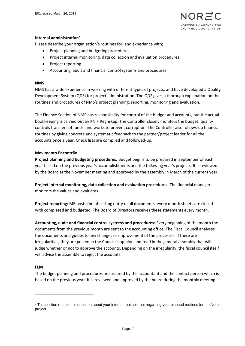

#### **Internal administration<sup>7</sup>**

Please describe your organisation's routines for, and experience with;

- Project planning and budgeting procedures
- Project internal monitoring, data collection and evaluation procedures
- Project reporting
- Accounting, audit and financial control systems and procedures

#### **NMS**

NMS has a wide experience in working with different types of projects, and have developed a Quality Development System (QDS) for project administration. The QDS gives a thorough explanation on the routines and procedures of NMS's project planning, reporting, monitoring and evaluation.

The Finance Section of NMS has responsibility for control of the budget and accounts, but the actual bookkeeping is carried out by KNIF Regnskap. The Controller closely monitors the budget, quality controls transfers of funds, and works to prevent corruption. The Controller also follows-up financial routines by giving concrete and systematic feedback to the partner/project leader for all the accounts once a year. Check lists are compiled and followed-up.

#### **Movimento Encontrão**

**Project planning and budgeting procedures:** Budget begins to be prepared in September of each year based on the previous year's accomplishments and the following year's projects. It is reviewed by the Board at the November meeting and approved by the assembly in March of the current year.

**Project internal monitoring, data collection and evaluation procedures:** The financial manager monitors the values and evaluates.

**Project reporting:** ME posts the offsetting entry of all documents, every month sheets are closed with completed and budgeted. The Board of Directors receives these statements every month.

**Accounting, audit and financial control systems and procedures:** Every beginning of the month the documents from the previous month are sent to the accounting office. The Fiscal Council analyses the documents and guides to any changes or improvement of the processes. If there are irregularities, they are posted in the Council's opinion and read in the general assembly that will judge whether or not to approve the accounts. Depending on the irregularity, the fiscal council itself will advise the assembly to reject the accounts.

#### **FLM**

1

The budget planning and procedures are assured by the accountant and the contact person which is based on the previous year. It is reviewed and approved by the board during the monthly meeting.

<sup>&</sup>lt;sup>7</sup> This section requests information about your internal routines, not regarding your planned routines for the Norec project.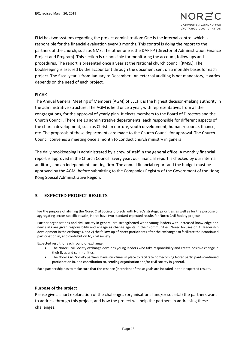

FLM has two systems regarding the project administration: One is the internal control which is responsible for the financial evaluation every 3 months. This control is doing the report to the partners of the church, such as NMS. The other one is the DAF PP (Director of Administration Finance Project and Program). This section is responsible for monitoring the account, follow ups and procedures. The report is presented once a year at the National church council (KMSL). The bookkeeping is assured by the accountant through the document sent on a monthly bases for each project. The fiscal year is from January to December. An external auditing is not mandatory, it varies depends on the need of each project.

#### **ELCHK**

The Annual General Meeting of Members (AGM) of ELCHK is the highest decision-making authority in the administrative structure. The AGM is held once a year, with representatives from all the congregations, for the approval of yearly plan. It elects members to the Board of Directors and the Church Council. There are 10 administrative departments, each responsible for different aspects of the church development, such as Christian nurture, youth development, human resource, finance, etc. The proposals of these departments are made to the Church Council for approval. The Church Council convenes a meeting once a month to conduct church ministry in general.

The daily bookkeeping is administrated by a crew of staff in the general office. A monthly financial report is approved in the Church Council. Every year, our financial report is checked by our internal auditors, and an independent auditing firm. The annual financial report and the budget must be approved by the AGM, before submitting to the Companies Registry of the Government of the Hong Kong Special Administrative Region.

# **3 EXPECTED PROJECT RESULTS**

For the purpose of aligning the Norec Civil Society projects with Norec's strategic priorities, as well as for the purpose of aggregating sector-specific results, Norec have two standard expected results for Norec Civil Society projects.

Partner organisations and civil society in general are strengthened when young leaders with increased knowledge and new skills are given responsibility and engage as change agents in their communities. Norec focuses on 1) leadership development in the exchanges, and 2) the follow-up of Norec participants after the exchanges to facilitate their continued participation in, and contribution to, civil society.

Expected result for each round of exchange:

- The Norec Civil Society exchange develops young leaders who take responsibility and create positive change in their lives and communities.
- The Norec Civil Society partners have structures in place to facilitate homecoming Norec participants continued participation in, and contribution to, sending organization and/or civil society in general.

Each partnership has to make sure that the essence (intention) of these goals are included in their expected results.

#### **Purpose of the project**

Please give a short explanation of the challenges (organisational and/or societal) the partners want to address through this project, and how the project will help the partners in addressing these challenges.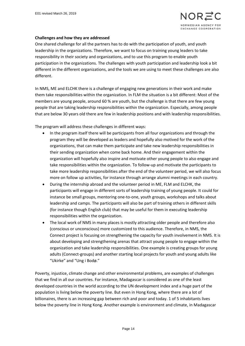#### **Challenges and how they are addressed**

One shared challenge for all the partners has to do with the participation of youth, and youth leadership in the organizations. Therefore, we want to focus on training young leaders to take responsibility in their society and organizations, and to use this program to enable youth participation in the organizations. The challenges with youth participation and leadership look a bit different in the different organizations, and the tools we are using to meet these challenges are also different.

In NMS, ME and ELCHK there is a challenge of engaging new generations in their work and make them take responsibilities within the organization. In FLM the situation is a bit different: Most of the members are young people, around 60 % are youth, but the challenge is that there are few young people that are taking leadership responsibilities within the organization. Especially, among people that are below 30 years old there are few in leadership positions and with leadership responsibilities.

The program will address these challenges in different ways:

- In the program itself there will be participants from all four organizations and through the program they will be developed as leaders and hopefully also motived for the work of the organizations, that can make them participate and take new leadership responsibilities in their sending organization when come back home. And their engagement within the organization will hopefully also inspire and motivate other young people to also engage and take responsibilities within the organization. To follow-up and motivate the participants to take more leadership responsibilities after the end of the volunteer period, we will also focus more on follow up activities, for instance through arrange alumni meetings in each country.
- During the internship abroad and the volunteer period in ME, FLM and ELCHK, the participants will engage in different sorts of leadership training of young people. It could for instance be small groups, mentoring one-to-one, youth groups, workshops and talks about leadership and camps. The participants will also be part of training others in different skills (for instance though English club) that may be useful for them in executing leadership responsibilities within the organization.
- The local work of NMS in many places is mostly attracting older people and therefore also (conscious or unconscious) more customized to this audience. Therefore, in NMS, the Connect project is focusing on strengthening the capacity for youth involvement in NMS. It is about developing and strengthening arenas that attract young people to engage within the organization and take leadership responsibilities. One example is creating groups for young adults (Connect-groups) and another starting local projects for youth and young adults like "Ukirke" and "Ung i Bodø."

Poverty, injustice, climate change and other environmental problems, are examples of challenges that we find in all our countries. For instance, Madagascar is considered as one of the least developed countries in the world according to the UN development index and a huge part of the population is living below the poverty line. But even in Hong Kong, where there are a lot of billionaires, there is an increasing gap between rich and poor and today. 1 of 5 inhabitants lives below the poverty line in Hong Kong. Another example is environment and climate, in Madagascar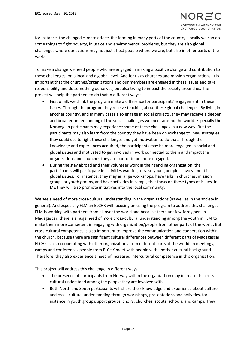for instance, the changed climate affects the farming in many parts of the country. Locally we can do some things to fight poverty, injustice and environmental problems, but they are also global challenges where our actions may not just affect people where we are, but also in other parts of the world.

To make a change we need people who are engaged in making a positive change and contribution to these challenges, on a local and a global level. And for us as churches and mission organizations, it is important that the churches/organizations and our members are engaged in these issues and take responsibility and do something ourselves, but also trying to impact the society around us. The project will help the partners to do that in different ways:

- First of all, we think the program make a difference for participants' engagement in these issues. Through the program they receive teaching about these global challenges. By living in another country, and in many cases also engage in social projects, they may receive a deeper and broader understanding of the social challenges we meet around the world. Especially the Norwegian participants may experience some of these challenges in a new way. But the participants may also learn from the country they have been on exchange to, new strategies they could use to fight these challenges and get motivation to do that. Through the knowledge and experiences acquired, the participants may be more engaged in social and global issues and motivated to get involved in work connected to them and impact the organizations and churches they are part of to be more engaged.
- During the stay abroad and their volunteer work in their sending organization, the participants will participate in activities wanting to raise young people's involvement in global issues. For instance, they may arrange workshops, have talks in churches, mission groups or youth groups, and have activities in camps, that focus on these types of issues. In ME they will also promote initiatives into the local community.

We see a need of more cross-cultural understanding in the organizations (as well as in the society in general). And especially FLM an ELCHK will focusing on using the program to address this challenge. FLM is working with partners from all over the world and because there are few foreigners in Madagascar, there is a huge need of more cross-cultural understanding among the youth in FLM to make them more competent in engaging with organization/people from other parts of the world. But cross-cultural competence is also important to improve the communication and cooperation within the church, because there are significant cultural differences between different parts of Madagascar. ELCHK is also cooperating with other organizations from different parts of the world. In meetings, camps and conferences people from ELCHK meet with people with another cultural background. Therefore, they also experience a need of increased intercultural competence in this organization.

This project will address this challenge in different ways.

- The presence of participants from Norway within the organization may increase the crosscultural understand among the people they are involved with
- Both North and South participants will share their knowledge and experience about culture and cross-cultural understanding through workshops, presentations and activities, for instance in youth groups, sport groups, choirs, churches, scouts, schools, and camps. They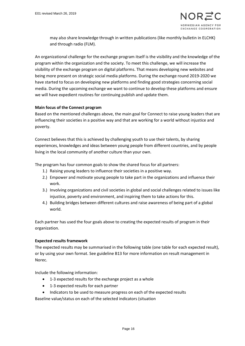may also share knowledge through in written publications (like monthly bulletin in ELCHK) and through radio (FLM).

An organizational challenge for the exchange program itself is the visibility and the knowledge of the program within the organization and the society. To meet this challenge, we will increase the visibility of the exchange program on digital platforms. That means developing new websites and being more present on strategic social media platforms. During the exchange round 2019-2020 we have started to focus on developing new platforms and finding good strategies concerning social media. During the upcoming exchange we want to continue to develop these platforms and ensure we will have expedient routines for continuing publish and update them.

#### **Main focus of the Connect program**

Based on the mentioned challenges above, the main goal for Connect to raise young leaders that are influencing their societies in a positive way and that are working for a world without injustice and poverty.

Connect believes that this is achieved by challenging youth to use their talents, by sharing experiences, knowledges and ideas between young people from different countries, and by people living in the local community of another culture than your own.

The program has four common goals to show the shared focus for all partners:

- 1.) Raising young leaders to influence their societies in a positive way.
- 2.) Empower and motivate young people to take part in the organizations and influence their work.
- 3.) Involving organizations and civil societies in global and social challenges related to issues like injustice, poverty and environment, and inspiring them to take actions for this.
- 4.) Building bridges between different cultures and raise awareness of being part of a global world.

Each partner has used the four goals above to creating the expected results of program in their organization.

#### **Expected results framework**

The expected results may be summarised in the following table (one table for each expected result), or by using your own format. See guideline B13 for more information on result management in Norec.

Include the following information:

- 1-3 expected results for the exchange project as a whole
- 1-3 expected results for each partner
- Indicators to be used to measure progress on each of the expected results

Baseline value/status on each of the selected indicators (situation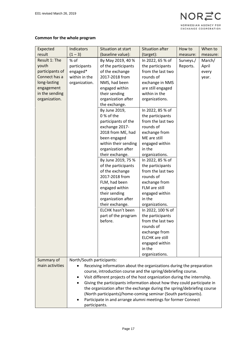# **Common for the whole program**

| Expected        | <b>Indicators</b>         | Situation at start                                                       | <b>Situation after</b>         | How to    | When to  |
|-----------------|---------------------------|--------------------------------------------------------------------------|--------------------------------|-----------|----------|
| result          | $(1 - 3)$                 | (baseline value):                                                        | (target):                      | measure:  | measure: |
| Result 1: The   | % of                      | By May 2019, 40 %                                                        | In 2022, 65 % of               | Surveys./ | March/   |
| youth           | participants              | of the participants                                                      | the participants               | Reports.  | April    |
| participants of | engaged*                  | of the exchange                                                          | from the last two              |           | every    |
| Connect has a   | within in the             | 2017-2018 from                                                           | rounds of                      |           | year.    |
| long-lasting    | organization.             | NMS, had been                                                            | exchange in NMS                |           |          |
| engagement      |                           | engaged within                                                           | are still engaged              |           |          |
| in the sending  |                           | their sending                                                            | within in the                  |           |          |
| organization.   |                           | organization after                                                       | organizations.                 |           |          |
|                 |                           | the exchange.                                                            |                                |           |          |
|                 |                           | By June 2019,                                                            | In 2022, 85 % of               |           |          |
|                 |                           | 0 % of the                                                               | the participants               |           |          |
|                 |                           | participants of the                                                      | from the last two              |           |          |
|                 |                           | exchange 2017-                                                           | rounds of                      |           |          |
|                 |                           | 2018 from ME, had                                                        | exchange from                  |           |          |
|                 |                           | been engaged                                                             | ME are still                   |           |          |
|                 |                           | within their sending                                                     | engaged within                 |           |          |
|                 |                           | organization after                                                       | in the                         |           |          |
|                 |                           | their exchange.                                                          | organizations.                 |           |          |
|                 |                           | By June 2019, 75 %                                                       | In 2022, 85 % of               |           |          |
|                 |                           | of the participants                                                      | the participants               |           |          |
|                 |                           | of the exchange                                                          | from the last two              |           |          |
|                 |                           | 2017-2018 from                                                           | rounds of                      |           |          |
|                 |                           | FLM, had been                                                            | exchange from<br>FLM are still |           |          |
|                 |                           | engaged within<br>their sending                                          | engaged within                 |           |          |
|                 |                           | organization after                                                       | in the                         |           |          |
|                 |                           | their exchange.                                                          | organizations.                 |           |          |
|                 |                           | ELCHK hasn't been                                                        | In 2022, 100 % of              |           |          |
|                 |                           | part of the program                                                      | the participants               |           |          |
|                 |                           | before.                                                                  | from the last two              |           |          |
|                 |                           |                                                                          | rounds of                      |           |          |
|                 |                           |                                                                          | exchange from                  |           |          |
|                 |                           |                                                                          | <b>ELCHK</b> are still         |           |          |
|                 |                           |                                                                          | engaged within                 |           |          |
|                 |                           |                                                                          | in the                         |           |          |
|                 |                           |                                                                          | organizations.                 |           |          |
| Summary of      | North/South participants: |                                                                          |                                |           |          |
| main activities |                           | Receiving information about the organizations during the preparation     |                                |           |          |
|                 |                           | course, introduction course and the spring/debriefing course.            |                                |           |          |
|                 | ٠                         | Visit different projects of the host organization during the internship. |                                |           |          |
|                 |                           | Giving the participants information about how they could participate in  |                                |           |          |
|                 |                           | the organization after the exchange during the spring/debriefing course  |                                |           |          |
|                 |                           | (North participants)/home-coming seminar (South participants).           |                                |           |          |
|                 |                           | Participate in and arrange alumni meetings for former Connect            |                                |           |          |
|                 | participants.             |                                                                          |                                |           |          |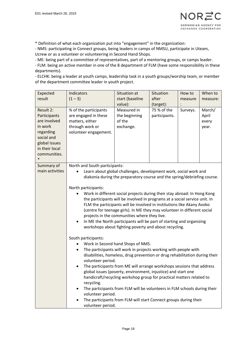

\* Definition of what each organization put into "engagement" in the organization:

- NMS: participating in Connect groups, being leaders in camps of NMSU, participate in Uteam, Ucrew or as a volunteer or volunteering in Second Hand Shops.

- ME: being part of a committee of representatives, part of a mentoring groups, or camps leader.

- FLM: being an active member in one of the 8 department of FLM (have some responsibility in these departments).

- ELCHK: being a leader at youth camps, leadership task in a youth groups/worship team, or member of the department committee leader in youth project.

| Expected                                                                                                                                     | Indicators                                                                                                                    | Situation at                                                               | Situation                    | How to   | When to                           |  |
|----------------------------------------------------------------------------------------------------------------------------------------------|-------------------------------------------------------------------------------------------------------------------------------|----------------------------------------------------------------------------|------------------------------|----------|-----------------------------------|--|
| result                                                                                                                                       | $(1 - 3)$                                                                                                                     | start (baseline                                                            | after                        | measure  | measure:                          |  |
|                                                                                                                                              |                                                                                                                               | value):                                                                    | (target):                    |          |                                   |  |
| Result 2:<br>Participants<br>are involved<br>in work<br>regarding<br>social and<br>global issues<br>in their local<br>communities.<br>$\ast$ | % of the participants<br>are engaged in these<br>matters, either<br>through work or<br>volunteer engagement.                  | Measured in<br>the beginning<br>of the<br>exchange.                        | 75 % of the<br>participants. | Surveys. | March/<br>April<br>every<br>year. |  |
| Summary of                                                                                                                                   | North and South participants:                                                                                                 |                                                                            |                              |          |                                   |  |
| main activities                                                                                                                              |                                                                                                                               | Learn about global challenges, development work, social work and           |                              |          |                                   |  |
|                                                                                                                                              |                                                                                                                               | diakonia during the preparatory course and the spring/debriefing course.   |                              |          |                                   |  |
|                                                                                                                                              |                                                                                                                               |                                                                            |                              |          |                                   |  |
|                                                                                                                                              | North participants:                                                                                                           | Work in different social projects during their stay abroad: In Hong Kong   |                              |          |                                   |  |
|                                                                                                                                              |                                                                                                                               | the participants will be involved in programs at a social service unit. In |                              |          |                                   |  |
|                                                                                                                                              |                                                                                                                               | FLM the participants will be involved in institutions like Akany Avoko     |                              |          |                                   |  |
|                                                                                                                                              |                                                                                                                               | (centre for teenage girls). In ME they may volunteer in different social   |                              |          |                                   |  |
|                                                                                                                                              |                                                                                                                               | projects in the communities where they live.                               |                              |          |                                   |  |
|                                                                                                                                              | In ME the North participants will be part of starting and organizing<br>workshops about fighting poverty and about recycling. |                                                                            |                              |          |                                   |  |
|                                                                                                                                              | South participants:                                                                                                           |                                                                            |                              |          |                                   |  |
|                                                                                                                                              |                                                                                                                               | Work in Second hand Shops of NMS.                                          |                              |          |                                   |  |
|                                                                                                                                              | The participants will work in projects working with people with<br>٠                                                          |                                                                            |                              |          |                                   |  |
|                                                                                                                                              | disabilities, homeless, drug prevention or drug rehabilitation during their<br>volunteer period.                              |                                                                            |                              |          |                                   |  |
|                                                                                                                                              | The participants from ME will arrange workshops sessions that address                                                         |                                                                            |                              |          |                                   |  |
|                                                                                                                                              | global issues (poverty, environment, injustice) and start one                                                                 |                                                                            |                              |          |                                   |  |
|                                                                                                                                              | recycling.                                                                                                                    | handicraft/recycling workshop group for practical matters related to       |                              |          |                                   |  |
|                                                                                                                                              | ٠                                                                                                                             | The participants from FLM will be volunteers in FLM schools during their   |                              |          |                                   |  |
|                                                                                                                                              | volunteer period.                                                                                                             |                                                                            |                              |          |                                   |  |
|                                                                                                                                              |                                                                                                                               | The participants from FLM will start Connect groups during their           |                              |          |                                   |  |
|                                                                                                                                              | volunteer period.                                                                                                             |                                                                            |                              |          |                                   |  |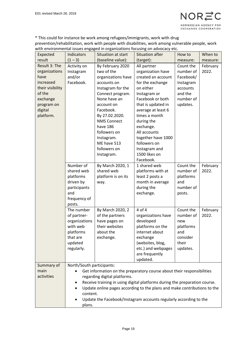\* This could for instance be work among refugees/immigrants, work with drug prevention/rehabilitation, work with people with disabilities, work among vulnerable people, work with environmental issues engaged in organizations focusing on advocacy etc.

| Expected           | Indicators                                                                                                                                                  | Situation at start          | <b>Situation after</b>                                                 | How to    | When to  |
|--------------------|-------------------------------------------------------------------------------------------------------------------------------------------------------------|-----------------------------|------------------------------------------------------------------------|-----------|----------|
| result             | $(1 - 3)$                                                                                                                                                   | (baseline value):           | (target):                                                              | measure:  | measure: |
| Result 3: The      | Activity on                                                                                                                                                 | By February 2020            | All partner                                                            | Count the | February |
| organizations      | Instagram                                                                                                                                                   | two of the                  | organization have                                                      | number of | 2022.    |
| have               | and/or                                                                                                                                                      | organizations have          | created an account                                                     | Facebook/ |          |
| increased          | Facebook.                                                                                                                                                   | accounts on                 | for the exchange                                                       | Instagram |          |
| their visibility   |                                                                                                                                                             | Instagram for the           | on either                                                              | accounts  |          |
| of the             |                                                                                                                                                             | Connect program.            | Instagram or                                                           | and the   |          |
| exchange           |                                                                                                                                                             | None have an                | Facebook or both                                                       | number of |          |
| program on         |                                                                                                                                                             | account on                  | that is updated in                                                     | updates.  |          |
| digital            |                                                                                                                                                             | Facebook.                   | average at least 6                                                     |           |          |
| platform.          |                                                                                                                                                             | By 27.02.2020.              | times a month                                                          |           |          |
|                    |                                                                                                                                                             | <b>NMS Connect</b>          | during the                                                             |           |          |
|                    |                                                                                                                                                             | have 186                    | exchange.                                                              |           |          |
|                    |                                                                                                                                                             | followers on                | All accounts                                                           |           |          |
|                    |                                                                                                                                                             | Instagram.                  | together have 1000                                                     |           |          |
|                    |                                                                                                                                                             | ME have 513<br>followers on | followers on                                                           |           |          |
|                    |                                                                                                                                                             | Instagram.                  | Instagram and<br>1500 likes on                                         |           |          |
|                    |                                                                                                                                                             |                             | Facebook.                                                              |           |          |
|                    | Number of                                                                                                                                                   | By March 2020, 1            | 1 shared web                                                           | Count the | February |
|                    | shared web                                                                                                                                                  | shared web                  | platforms with at                                                      | number of | 2022.    |
|                    | platforms                                                                                                                                                   | platform is on its          | least 2 posts a                                                        | platforms |          |
|                    | driven by                                                                                                                                                   | way.                        | month in average                                                       | and       |          |
|                    | participants                                                                                                                                                |                             | during the                                                             | number of |          |
|                    | and                                                                                                                                                         |                             | exchange.                                                              | posts.    |          |
|                    | frequency of                                                                                                                                                |                             |                                                                        |           |          |
|                    | posts.                                                                                                                                                      |                             |                                                                        |           |          |
|                    | The number                                                                                                                                                  | By March 2020, 2            | $4$ of $4$                                                             | Count the | February |
|                    | of partner-                                                                                                                                                 | of the partners             | organizations have                                                     | number of | 2022.    |
|                    | organizations                                                                                                                                               | have pages on               | developed                                                              | new       |          |
|                    | with web                                                                                                                                                    | their websites              | platforms on the                                                       | platforms |          |
|                    | platforms                                                                                                                                                   | about the                   | internet about                                                         | and       |          |
|                    | that are                                                                                                                                                    | exchange.                   | exchange                                                               | consider  |          |
|                    | updated                                                                                                                                                     |                             | (websites, blog,                                                       | their     |          |
|                    | regularly.                                                                                                                                                  |                             | etc.) and webpages                                                     | updates.  |          |
|                    |                                                                                                                                                             |                             | are frequently                                                         |           |          |
|                    |                                                                                                                                                             |                             | updated.                                                               |           |          |
| Summary of         | North/South participants:                                                                                                                                   |                             |                                                                        |           |          |
| main<br>activities |                                                                                                                                                             |                             | Get information on the preparatory course about their responsibilities |           |          |
|                    | regarding digital platforms.                                                                                                                                |                             |                                                                        |           |          |
|                    | Receive training in using digital platforms during the preparation course.<br>٠<br>Update online pages according to the plans and make contributions to the |                             |                                                                        |           |          |
|                    | content.                                                                                                                                                    |                             |                                                                        |           |          |
|                    |                                                                                                                                                             |                             |                                                                        |           |          |
|                    | Update the Facebook/Instagram accounts regularly according to the<br>plans.                                                                                 |                             |                                                                        |           |          |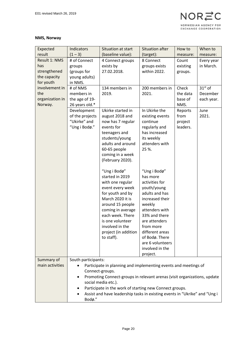#### **NMS, Norway**

| Expected                      | Indicators          | Situation at start                                                                 | <b>Situation after</b>         | How to   | When to    |
|-------------------------------|---------------------|------------------------------------------------------------------------------------|--------------------------------|----------|------------|
| result                        | $(1 - 3)$           | (baseline value):                                                                  | (target):                      | measure: | measure:   |
| Result 1: NMS                 | # of Connect        | 4 Connect groups                                                                   | 8 Connect                      | Count    | Every year |
| has                           | groups              | exists by                                                                          | groups exists                  | existing | in March.  |
| strengthened                  | (groups for         | 27.02.2018.                                                                        | within 2022.                   | groups.  |            |
| the capacity                  | young adults)       |                                                                                    |                                |          |            |
| for youth                     | in NMS.             |                                                                                    |                                |          |            |
| involvement in                | # of NMS            | 134 members in                                                                     | 200 members in                 | Check    | $31st$ of  |
| the                           | members in          | 2019.                                                                              | 2021.                          | the data | December   |
| organization in               | the age of 19-      |                                                                                    |                                | base of  | each year. |
| Norway.                       | 26 years old.*      |                                                                                    |                                | NMS.     |            |
|                               | Development         | Ukirke started in                                                                  | In Ukirke the                  | Reports  | June       |
|                               | of the projects     | august 2018 and                                                                    | existing events                | from     | 2021.      |
|                               | "Ukirke" and        | now has 7 regular                                                                  | continue                       | project  |            |
|                               | "Ung i Bodø."       | events for                                                                         | regularly and<br>has increased | leaders. |            |
|                               |                     | teenagers and<br>students/young                                                    | its weekly                     |          |            |
|                               |                     | adults and around                                                                  | attenders with                 |          |            |
|                               |                     | 60-65 people                                                                       | 25 %.                          |          |            |
|                               |                     | coming in a week                                                                   |                                |          |            |
|                               |                     | (February 2020).                                                                   |                                |          |            |
|                               |                     |                                                                                    |                                |          |            |
|                               |                     | "Ung i Bodø"                                                                       | "Ung i Bodø"                   |          |            |
|                               |                     | started in 2019                                                                    | has more                       |          |            |
|                               |                     | with one regular                                                                   | activities for                 |          |            |
|                               |                     | event every week                                                                   | youth/young                    |          |            |
|                               |                     | for youth and by                                                                   | adults and has                 |          |            |
|                               |                     | March 2020 it is                                                                   | increased their                |          |            |
|                               |                     | around 15 people                                                                   | weekly                         |          |            |
|                               |                     | coming in average                                                                  | attenders with                 |          |            |
|                               |                     | each week. There                                                                   | 33% and there                  |          |            |
|                               |                     | is one volunteer                                                                   | are attenders                  |          |            |
|                               |                     | involved in the                                                                    | from more                      |          |            |
|                               |                     | project (in addition                                                               | different areas                |          |            |
|                               |                     | to staff).                                                                         | of Bodø. There                 |          |            |
|                               |                     |                                                                                    | are 6 volunteers               |          |            |
|                               |                     |                                                                                    | involved in the                |          |            |
|                               |                     |                                                                                    | project.                       |          |            |
| Summary of<br>main activities | South participants: |                                                                                    |                                |          |            |
|                               |                     | Participate in planning and implementing events and meetings of<br>Connect-groups. |                                |          |            |
|                               | $\bullet$           | Promoting Connect-groups in relevant arenas (visit organizations, update           |                                |          |            |
|                               |                     | social media etc.).                                                                |                                |          |            |
|                               |                     | Participate in the work of starting new Connect groups.                            |                                |          |            |
|                               |                     | Assist and have leadership tasks in existing events in "Ukrike" and "Ung i         |                                |          |            |
|                               | Bodø."              |                                                                                    |                                |          |            |
|                               |                     |                                                                                    |                                |          |            |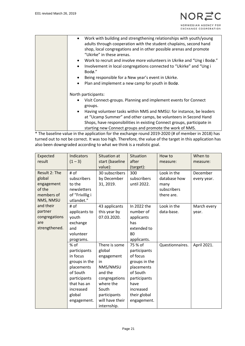| Work with building and strengthening relationships with youth/young<br>$\bullet$<br>adults through cooperation with the student chaplains, second hand<br>shop, local congregations and in other possible arenas and promote<br>"Ukirke" in these arenas.<br>Work to recruit and involve more volunteers in Ukrike and "Ung i Bodø."<br>$\bullet$<br>Involvement in local congregations connected to "Ukirke" and "Ung i<br>$\bullet$<br>Bodø."<br>Being responsible for a New year's event in Ukirke.<br>$\bullet$<br>Plan and implement a new camp for youth in Bodø.<br>$\bullet$ |
|--------------------------------------------------------------------------------------------------------------------------------------------------------------------------------------------------------------------------------------------------------------------------------------------------------------------------------------------------------------------------------------------------------------------------------------------------------------------------------------------------------------------------------------------------------------------------------------|
| North participants:<br>Visit Connect-groups. Planning and implement events for Connect<br>$\bullet$<br>groups.<br>Having volunteer tasks within NMS and NMSU: for instance, be leaders<br>$\bullet$<br>at "Ucamp Summer" and other camps, be volunteers in Second Hand<br>Shops, have responsibilities in existing Connect groups, participate in<br>starting new Connect groups and promote the work of NMS.                                                                                                                                                                        |

\* The baseline value in the application for the exchange round 2019-2020 (# of member in 2018) has turned out to not be correct. It was too high. Therefore, the value of the target in this application has also been downgraded according to what we think is a realistic goal.

| Expected<br>result                                                         | <b>Indicators</b><br>$(1 - 3)$                                                                                                                     | Situation at<br>start (baseline<br>value):                                                                                                                  | Situation<br>after<br>(target):                                                                                                                    | How to<br>measure:                                               | When to<br>measure:     |
|----------------------------------------------------------------------------|----------------------------------------------------------------------------------------------------------------------------------------------------|-------------------------------------------------------------------------------------------------------------------------------------------------------------|----------------------------------------------------------------------------------------------------------------------------------------------------|------------------------------------------------------------------|-------------------------|
| Result 2: The<br>global<br>engagement<br>of the<br>members of<br>NMS, NMSU | # of<br>subscribers<br>to the<br>newsletters<br>of "Frivillig i<br>utlandet."                                                                      | 30 subscribers<br>by December<br>31, 2019.                                                                                                                  | 300<br>subscribers<br>until 2022.                                                                                                                  | Look in the<br>database how<br>many<br>subscribers<br>there are. | December<br>every year. |
| and their<br>partner<br>congregations<br>are<br>strengthened.              | # of<br>applicants to<br>youth<br>exchange<br>and<br>volunteer<br>programs.                                                                        | 43 applicants<br>this year by<br>07.03.2020.                                                                                                                | In 2022 the<br>number of<br>applicants<br>has<br>extended to<br>80<br>applicants.                                                                  | Look in the<br>data-base.                                        | March every<br>year.    |
|                                                                            | $%$ of<br>participants<br>in focus<br>groups in the<br>placements<br>of South<br>participants<br>that has an<br>increased<br>global<br>engagement. | There is some<br>global<br>engagement<br>in<br>NMS/NMSU<br>and the<br>congregations<br>where the<br>South<br>participants<br>will have their<br>internship. | 75 % of<br>participants<br>of focus<br>groups in the<br>placements<br>of South<br>participants<br>have<br>increased<br>their global<br>engagement. | Questionnaires.                                                  | April 2021.             |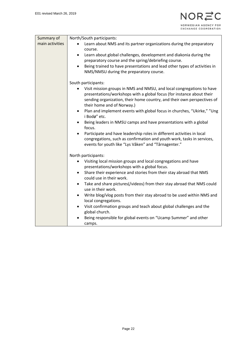| Summary of      | North/South participants:                                                                             |
|-----------------|-------------------------------------------------------------------------------------------------------|
| main activities |                                                                                                       |
|                 | Learn about NMS and its partner organizations during the preparatory<br>$\bullet$                     |
|                 | course.                                                                                               |
|                 | Learn about global challenges, development and diakonia during the<br>$\bullet$                       |
|                 | preparatory course and the spring/debriefing course.                                                  |
|                 | Being trained to have presentations and lead other types of activities in<br>$\bullet$                |
|                 | NMS/NMSU during the preparatory course.                                                               |
|                 |                                                                                                       |
|                 | South participants:                                                                                   |
|                 | Visit mission groups in NMS and NMSU, and local congregations to have                                 |
|                 | presentations/workshops with a global focus (for instance about their                                 |
|                 | sending organization, their home country, and their own perspectives of<br>their home and of Norway.) |
|                 | Plan and implement events with global focus in churches, "Ukirke," "Ung<br>$\bullet$                  |
|                 | i Bodø" etc.                                                                                          |
|                 | Being leaders in NMSU camps and have presentations with a global                                      |
|                 | focus.                                                                                                |
|                 | Participate and have leadership roles in different activities in local<br>$\bullet$                   |
|                 | congregations, such as confirmation and youth work, tasks in services,                                |
|                 | events for youth like "Lys Våken" and "Tårnagenter."                                                  |
|                 |                                                                                                       |
|                 | North participants:                                                                                   |
|                 | Visiting local mission groups and local congregations and have                                        |
|                 | presentations/workshops with a global focus.                                                          |
|                 | Share their experience and stories from their stay abroad that NMS<br>$\bullet$                       |
|                 | could use in their work.                                                                              |
|                 | Take and share pictures(/videos) from their stay abroad that NMS could<br>$\bullet$                   |
|                 | use in their work.                                                                                    |
|                 | Write blog/vlog posts from their stay abroad to be used within NMS and<br>$\bullet$                   |
|                 | local congregations.                                                                                  |
|                 | Visit confirmation groups and teach about global challenges and the<br>$\bullet$                      |
|                 | global church.                                                                                        |
|                 | Being responsible for global events on "Ucamp Summer" and other                                       |
|                 | camps.                                                                                                |
|                 |                                                                                                       |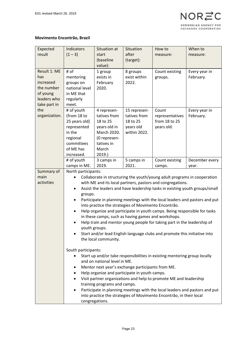#### **Movimento Encontrão, Brazil**

| Expected            | Indicators              | Situation at                 | Situation                                            | How to                                                                      | When to                                                                     |
|---------------------|-------------------------|------------------------------|------------------------------------------------------|-----------------------------------------------------------------------------|-----------------------------------------------------------------------------|
| result              | $(1 - 3)$               | start                        | after                                                | measure:                                                                    | measure:                                                                    |
|                     |                         | (baseline                    | (target):                                            |                                                                             |                                                                             |
|                     |                         | value):                      |                                                      |                                                                             |                                                                             |
| Result 1: ME<br>has | # of<br>mentoring       | 1 group<br>exists in         | 8 groups<br>exist within                             | Count existing<br>groups.                                                   | Every year in<br>February.                                                  |
| increased           | groups on               | February                     | 2022.                                                |                                                                             |                                                                             |
| the number          | national level          | 2020.                        |                                                      |                                                                             |                                                                             |
| of young            | in ME that              |                              |                                                      |                                                                             |                                                                             |
| leaders who         | regularly               |                              |                                                      |                                                                             |                                                                             |
| take part in        | meet.                   |                              |                                                      |                                                                             |                                                                             |
| the                 | # of youth              | 4 represen-                  | 15 represen-                                         | Count                                                                       | Every year in                                                               |
| organization.       | (from 18 to             | tatives from                 | tatives from                                         | representatives                                                             | February.                                                                   |
|                     | 25 years old)           | 18 to 25                     | 18 to 25                                             | from 18 to 25                                                               |                                                                             |
|                     | represented             | years old in                 | years old                                            | years old.                                                                  |                                                                             |
|                     | in the                  | March 2020.                  | within 2022.                                         |                                                                             |                                                                             |
|                     | regional                | (0 represen-                 |                                                      |                                                                             |                                                                             |
|                     | committees              | tatives in                   |                                                      |                                                                             |                                                                             |
|                     | of ME has<br>increased. | March                        |                                                      |                                                                             |                                                                             |
|                     | # of youth              | 2019.<br>3 camps in          | 5 camps in                                           | Count existing                                                              | December every                                                              |
|                     | camps in ME.            | 2019.                        | 2021.                                                | camps.                                                                      | year.                                                                       |
| Summary of          | North participants:     |                              |                                                      |                                                                             |                                                                             |
| main                |                         |                              |                                                      | Collaborate in structuring the youth/young adult programs in cooperation    |                                                                             |
| activities          |                         |                              |                                                      | with ME and its local partners, pastors and congregations.                  |                                                                             |
|                     | $\bullet$               |                              |                                                      | Assist the leaders and have leadership tasks in existing youth groups/small |                                                                             |
|                     | groups.                 |                              |                                                      |                                                                             |                                                                             |
|                     | $\bullet$               |                              |                                                      | Participate in planning meetings with the local leaders and pastors and put |                                                                             |
|                     |                         |                              | into practice the strategies of Movimento Encontrão. |                                                                             |                                                                             |
|                     | $\bullet$               |                              |                                                      | Help organize and participate in youth camps. Being responsible for tasks   |                                                                             |
|                     |                         |                              | in these camps, such as having games and workshops.  |                                                                             |                                                                             |
|                     | $\bullet$               |                              |                                                      | Help train and mentor young people for taking part in the leadership of     |                                                                             |
|                     |                         | youth groups.                |                                                      | Start and/or lead English language clubs and promote this initiative into   |                                                                             |
|                     |                         | the local community.         |                                                      |                                                                             |                                                                             |
|                     |                         |                              |                                                      |                                                                             |                                                                             |
|                     | South participants:     |                              |                                                      |                                                                             |                                                                             |
|                     |                         |                              |                                                      | Start up and/or take responsibilities in existing mentoring group locally   |                                                                             |
|                     |                         | and on national level in ME. |                                                      |                                                                             |                                                                             |
|                     | ٠                       |                              | Mentor next year's exchange participants from ME.    |                                                                             |                                                                             |
|                     | ٠                       |                              | Help organize and participate in youth camps.        |                                                                             |                                                                             |
|                     |                         |                              |                                                      | Visit partner organizations and help to promote ME and leadership           |                                                                             |
|                     |                         | training programs and camps. |                                                      |                                                                             |                                                                             |
|                     |                         |                              |                                                      |                                                                             | Participate in planning meetings with the local leaders and pastors and put |
|                     |                         |                              |                                                      | into practice the strategies of Movimento Encontrão, in their local         |                                                                             |
|                     |                         | congregations.               |                                                      |                                                                             |                                                                             |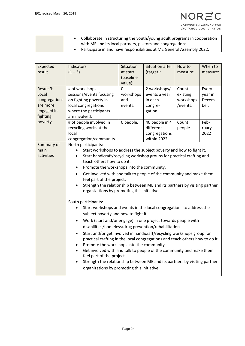• Collaborate in structuring the youth/young adult programs in cooperation with ME and its local partners, pastors and congregations. • Participate in and have responsibilities at ME General Assembly 2022.

| Expected<br>result                                                                    | Indicators<br>$(1 - 3)$                                                                                                                                                                                                                                                                                                                                                                                                                                                                                                                                                                                                                                                                                                                                                                                                                                                                                                                                                                                                                                                                                       | Situation<br>at start<br>(baseline                       | <b>Situation after</b><br>(target):                                                                                            | How to<br>measure:                                             | When to<br>measure:                                         |  |
|---------------------------------------------------------------------------------------|---------------------------------------------------------------------------------------------------------------------------------------------------------------------------------------------------------------------------------------------------------------------------------------------------------------------------------------------------------------------------------------------------------------------------------------------------------------------------------------------------------------------------------------------------------------------------------------------------------------------------------------------------------------------------------------------------------------------------------------------------------------------------------------------------------------------------------------------------------------------------------------------------------------------------------------------------------------------------------------------------------------------------------------------------------------------------------------------------------------|----------------------------------------------------------|--------------------------------------------------------------------------------------------------------------------------------|----------------------------------------------------------------|-------------------------------------------------------------|--|
| Result 3:<br>Local<br>congregations<br>are more<br>engaged in<br>fighting<br>poverty. | # of workshops<br>sessions/events focusing<br>on fighting poverty in<br>local congregations<br>where the participants<br>are involved.<br># of people involved in<br>recycling works at the<br>local<br>congregation/community.                                                                                                                                                                                                                                                                                                                                                                                                                                                                                                                                                                                                                                                                                                                                                                                                                                                                               | value):<br>0<br>workshops<br>and<br>events.<br>0 people. | 2 workshops/<br>events a year<br>in each<br>congre-<br>gation.<br>40 people in 4<br>different<br>congregations<br>within 2022. | Count<br>existing<br>workshops<br>/events.<br>Count<br>people. | Every<br>year in<br>Decem-<br>ber.<br>Feb-<br>ruary<br>2022 |  |
| Summary of<br>main<br>activities                                                      | North participants:<br>Start workshops to address the subject poverty and how to fight it.<br>Start handicraft/recycling workshop groups for practical crafting and<br>teach others how to do it.<br>Promote the workshops into the community.<br>$\bullet$<br>Get involved with and talk to people of the community and make them<br>feel part of the project.<br>Strength the relationship between ME and its partners by visiting partner<br>organizations by promoting this initiative.<br>South participants:<br>Start workshops and events in the local congregations to address the<br>subject poverty and how to fight it.<br>Work (start and/or engage) in one project towards people with<br>disabilities/homeless/drug prevention/rehabilitation.<br>Start and/or get involved in handicraft/recycling workshops group for<br>$\bullet$<br>practical crafting in the local congregations and teach others how to do it.<br>Promote the workshops into the community.<br>$\bullet$<br>Get involved with and talk to people of the community and make them<br>$\bullet$<br>feel part of the project. |                                                          |                                                                                                                                |                                                                |                                                             |  |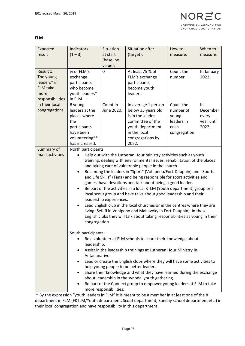| NOR                                          |
|----------------------------------------------|
| NORWEGIAN AGENCY FOR<br>EXCHANGE COOPERATION |

#### **FLM**

| Expected                                                                                                                 | <b>Indicators</b>                                                                                                                                                                                                                                                                                                                                                                                                                                                                                                                                                                                                                                                                                                                                                                                                                                                                                              | Situation              | <b>Situation after</b>                                                                                                                                                                                                                                                                                                                                                                                                                                     | How to                                                                 | When to                                        |
|--------------------------------------------------------------------------------------------------------------------------|----------------------------------------------------------------------------------------------------------------------------------------------------------------------------------------------------------------------------------------------------------------------------------------------------------------------------------------------------------------------------------------------------------------------------------------------------------------------------------------------------------------------------------------------------------------------------------------------------------------------------------------------------------------------------------------------------------------------------------------------------------------------------------------------------------------------------------------------------------------------------------------------------------------|------------------------|------------------------------------------------------------------------------------------------------------------------------------------------------------------------------------------------------------------------------------------------------------------------------------------------------------------------------------------------------------------------------------------------------------------------------------------------------------|------------------------------------------------------------------------|------------------------------------------------|
| result                                                                                                                   | $(1 - 3)$                                                                                                                                                                                                                                                                                                                                                                                                                                                                                                                                                                                                                                                                                                                                                                                                                                                                                                      | at start<br>(baseline  | (target):                                                                                                                                                                                                                                                                                                                                                                                                                                                  | measure:                                                               | measure:                                       |
|                                                                                                                          |                                                                                                                                                                                                                                                                                                                                                                                                                                                                                                                                                                                                                                                                                                                                                                                                                                                                                                                | value):                |                                                                                                                                                                                                                                                                                                                                                                                                                                                            |                                                                        |                                                |
| Result 1:<br>The young<br>leaders* in<br><b>FLM</b> take<br>more<br>responsibilities<br>in their local<br>congregations. | % of FLM's<br>exchange<br>participants<br>who become<br>youth leaders*<br>in FLM.                                                                                                                                                                                                                                                                                                                                                                                                                                                                                                                                                                                                                                                                                                                                                                                                                              | 0                      | At least 75 % of<br>FLM's exchange<br>participants<br>become youth<br>leaders.                                                                                                                                                                                                                                                                                                                                                                             | Count the<br>number.                                                   | In January<br>2022.                            |
|                                                                                                                          | # young<br>leaders at the<br>places where<br>the<br>participants<br>have been<br>volunteering**<br>has increased.                                                                                                                                                                                                                                                                                                                                                                                                                                                                                                                                                                                                                                                                                                                                                                                              | Count in<br>June 2020. | In average 1 person<br>below 35 years old<br>is in the leader<br>committee of the<br>youth department<br>in the local<br>congregations by<br>2022.                                                                                                                                                                                                                                                                                                         | Count the<br>number of<br>young<br>leaders in<br>each<br>congregation. | In<br>December<br>every<br>year until<br>2022. |
| Summary of<br>main activities                                                                                            | North participants:<br>Help out with the Lutheran Hour ministry activities such as youth<br>training, dealing with environmental issues, rehabilitation of the places<br>and taking care of vulnerable people in the church.<br>Be among the leaders in "Sport" (Vohipeno/Fort-Dauphin) and "Sports<br>$\bullet$<br>and Life Skills" (Tana) and being responsible for sport activities and<br>games, have devotions and talk about being a good leader.<br>Be part of the activities in a local KTLM (Youth department) group or a<br>$\bullet$<br>local scout group and have talks about good leadership and their<br>leadership experiences.<br>Lead English club in the local churches or in the centres where they are<br>$\bullet$<br>living (Sefafi in Vohipeno and Mahavoky in Fort-Dauphin). In these<br>English clubs they will talk about taking responsibilities as young in their<br>congregation. |                        |                                                                                                                                                                                                                                                                                                                                                                                                                                                            |                                                                        |                                                |
|                                                                                                                          | South participants:<br>leadership.<br>$\bullet$<br>Antananarivo.<br>٠                                                                                                                                                                                                                                                                                                                                                                                                                                                                                                                                                                                                                                                                                                                                                                                                                                          | more responsibilities. | Be a volunteer at FLM schools to share their knowledge about<br>Assist in the leadership trainings at Lutheran Hour Ministry in<br>Lead or create the English clubs where they will have some activities to<br>help young people to be better leaders.<br>Share their knowledge and what they have learned during the exchange<br>about leadership in the synodal youth gathering.<br>Be part of the Connect group to empower young leaders at FLM to take |                                                                        |                                                |

\* By the expression "youth leaders in FLM" it is meant to be a member in at least one of the 8 department in FLM (FKTLM/Youth department, Scout department, Sunday school department etc.) in their local congregation and have responsibility in this department.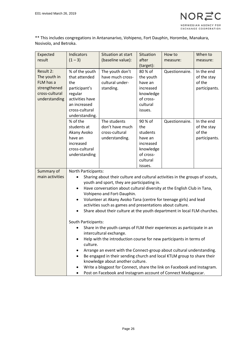

\*\* This includes congregations in Antananarivo, Vohipeno, Fort Dauphin, Horombe, Manakara, Nosivolo, and Betroka.

| Expected<br>result                                                                        | Indicators<br>$(1 - 3)$                                                                                                                                                                                                                                                                                                                                                                                                                                                                                                                                                                                                                                                                                                                                                                                                                                                                                                                                                     | Situation at start<br>(baseline value):                             | Situation<br>after                                                                                  | How to<br>measure: | When to<br>measure:                                  |  |
|-------------------------------------------------------------------------------------------|-----------------------------------------------------------------------------------------------------------------------------------------------------------------------------------------------------------------------------------------------------------------------------------------------------------------------------------------------------------------------------------------------------------------------------------------------------------------------------------------------------------------------------------------------------------------------------------------------------------------------------------------------------------------------------------------------------------------------------------------------------------------------------------------------------------------------------------------------------------------------------------------------------------------------------------------------------------------------------|---------------------------------------------------------------------|-----------------------------------------------------------------------------------------------------|--------------------|------------------------------------------------------|--|
|                                                                                           |                                                                                                                                                                                                                                                                                                                                                                                                                                                                                                                                                                                                                                                                                                                                                                                                                                                                                                                                                                             |                                                                     | (target):                                                                                           |                    |                                                      |  |
| Result 2:<br>The youth in<br>FLM has a<br>strengthened<br>cross-cultural<br>understanding | % of the youth<br>that attended<br>the<br>participant's<br>regular<br>activities have<br>an increased<br>cross-cultural<br>understanding.                                                                                                                                                                                                                                                                                                                                                                                                                                                                                                                                                                                                                                                                                                                                                                                                                                   | The youth don't<br>have much cross-<br>cultural under-<br>standing. | 80 % of<br>the youth<br>have an<br>increased<br>knowledge<br>of cross-<br>cultural<br>issues.       | Questionnaire.     | In the end<br>of the stay<br>of the<br>participants. |  |
|                                                                                           | % of the<br>students at<br>Akany Avoko<br>have an<br>increased<br>cross-cultural<br>understanding                                                                                                                                                                                                                                                                                                                                                                                                                                                                                                                                                                                                                                                                                                                                                                                                                                                                           | The students<br>don't have much<br>cross-cultural<br>understanding. | 90 % of<br>the<br>students<br>have an<br>increased<br>knowledge<br>of cross-<br>cultural<br>issues. | Questionnaire.     | In the end<br>of the stay<br>of the<br>participants. |  |
| Summary of<br>main activities                                                             | North Participants:<br>Sharing about their culture and cultural activities in the groups of scouts,<br>youth and sport, they are participating in.<br>Have conversation about cultural diversity at the English Club in Tana,<br>$\bullet$<br>Vohipeno and Fort-Dauphin.<br>Volunteer at Akany Avoko Tana (centre for teenage girls) and lead<br>٠<br>activities such as games and presentations about culture.<br>Share about their culture at the youth department in local FLM churches.<br>South Participants:<br>Share in the youth camps of FLM their experiences as participate in an<br>intercultural exchange.<br>Help with the introduction course for new participants in terms of<br>culture.<br>Arrange an event with the Connect-group about cultural understanding.<br>Be engaged in their sending church and local KTLM group to share their<br>knowledge about another culture.<br>Write a blogpost for Connect, share the link on Facebook and Instagram. |                                                                     |                                                                                                     |                    |                                                      |  |
|                                                                                           | Post on Facebook and Instagram account of Connect Madagascar.                                                                                                                                                                                                                                                                                                                                                                                                                                                                                                                                                                                                                                                                                                                                                                                                                                                                                                               |                                                                     |                                                                                                     |                    |                                                      |  |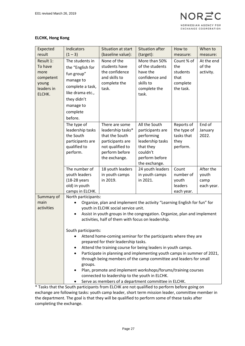#### **ELCHK, Hong Kong**

| Expected                                                                   | Indicators                                                                                                                                                                                                                                                                                                                                                                                                                                                                                                                                                                                                                     | Situation at start                                                                                                               | Situation after                                                                                                                                                         | How to                                                         | When to                                  |  |
|----------------------------------------------------------------------------|--------------------------------------------------------------------------------------------------------------------------------------------------------------------------------------------------------------------------------------------------------------------------------------------------------------------------------------------------------------------------------------------------------------------------------------------------------------------------------------------------------------------------------------------------------------------------------------------------------------------------------|----------------------------------------------------------------------------------------------------------------------------------|-------------------------------------------------------------------------------------------------------------------------------------------------------------------------|----------------------------------------------------------------|------------------------------------------|--|
| result                                                                     | $(1 - 3)$                                                                                                                                                                                                                                                                                                                                                                                                                                                                                                                                                                                                                      | (baseline value):                                                                                                                | (target):                                                                                                                                                               | measure:                                                       | measure:                                 |  |
| Result 1:<br>To have<br>more<br>competent<br>young<br>leaders in<br>ELCHK. | The students in<br>the "English for<br>fun group"<br>manage to<br>complete a task,<br>like drama etc.,<br>they didn't<br>manage to<br>complete<br>before.                                                                                                                                                                                                                                                                                                                                                                                                                                                                      | None of the<br>students have<br>the confidence<br>and skills to<br>complete the<br>task.                                         | More than 50%<br>of the students<br>have the<br>confidence and<br>skills to<br>complete the<br>task.                                                                    | Count % of<br>the<br>students<br>that<br>complete<br>the task. | At the end<br>of the<br>activity.        |  |
|                                                                            | The type of<br>leadership tasks<br>the South<br>participants are<br>qualified to<br>perform.                                                                                                                                                                                                                                                                                                                                                                                                                                                                                                                                   | There are some<br>leadership tasks*<br>that the South<br>participants are<br>not qualified to<br>perform before<br>the exchange. | All the South<br>participants are<br>performing<br>leadership tasks<br>that they<br>couldn't<br>perform before<br>the exchange.                                         | Reports of<br>the type of<br>tasks that<br>they<br>perform.    | End of<br>January<br>2022.               |  |
|                                                                            | The number of<br>youth leaders<br>(18-28 years<br>old) in youth<br>camps in ELCHK.                                                                                                                                                                                                                                                                                                                                                                                                                                                                                                                                             | 18 youth leaders<br>in youth camps<br>in 2019.                                                                                   | 24 youth leaders<br>in youth camps<br>in 2021.                                                                                                                          | Count<br>number of<br>youth<br>leaders<br>each year.           | After the<br>youth<br>camp<br>each year. |  |
| Summary of<br>main<br>activities                                           | North participants:<br>Organize, plan and implement the activity "Learning English for fun" for<br>youth in ELCHK social service unit.<br>Assist in youth groups in the congregation. Organize, plan and implement<br>٠<br>activities, half of them with focus on leadership.<br>South participants:<br>Attend home-coming seminar for the participants where they are<br>prepared for their leadership tasks.<br>Attend the training course for being leaders in youth camps.<br>Participate in planning and implementing youth camps in summer of 2021,<br>through being members of the camp committee and leaders for small |                                                                                                                                  |                                                                                                                                                                         |                                                                |                                          |  |
|                                                                            | groups.                                                                                                                                                                                                                                                                                                                                                                                                                                                                                                                                                                                                                        |                                                                                                                                  | Plan, promote and implement workshops/forums/training courses<br>connected to leadership to the youth in ELCHK.<br>Serve as members of a department committee in ELCHK. |                                                                |                                          |  |

\* Tasks that the South participants from ELCHK are not qualified to perform before going on exchange are following tasks: youth camp leader, short term mission leader, committee member in the department. The goal is that they will be qualified to perform some of these tasks after completing the exchange.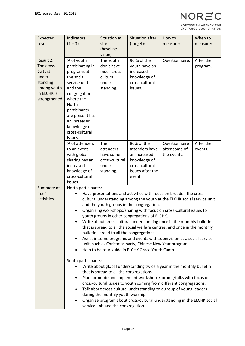| O <sub>R</sub>       |
|----------------------|
| NORWEGIAN AGENCY FOR |
| EXCHANGE COOPERATION |

|              | Indicators                                                                                                                                         | Situation at   | <b>Situation after</b>                                                  | How to         | When to   |  |
|--------------|----------------------------------------------------------------------------------------------------------------------------------------------------|----------------|-------------------------------------------------------------------------|----------------|-----------|--|
| Expected     |                                                                                                                                                    |                |                                                                         |                |           |  |
| result       | $(1 - 3)$                                                                                                                                          | start          | (target):                                                               | measure:       | measure:  |  |
|              |                                                                                                                                                    | (baseline      |                                                                         |                |           |  |
|              |                                                                                                                                                    | value):        |                                                                         |                |           |  |
| Result 2:    | % of youth                                                                                                                                         | The youth      | 90 % of the                                                             | Questionnaire. | After the |  |
| The cross-   | participating in                                                                                                                                   | don't have     | youth have an                                                           |                | program.  |  |
| cultural     | programs at                                                                                                                                        | much cross-    | increased                                                               |                |           |  |
| under-       | the social                                                                                                                                         | cultural       | knowledge of                                                            |                |           |  |
| standing     | service unit                                                                                                                                       | under-         | cross-cultural                                                          |                |           |  |
| among youth  | and the                                                                                                                                            | standing.      | issues.                                                                 |                |           |  |
| in ELCHK is  | congregation                                                                                                                                       |                |                                                                         |                |           |  |
| strengthened | where the                                                                                                                                          |                |                                                                         |                |           |  |
|              | <b>North</b>                                                                                                                                       |                |                                                                         |                |           |  |
|              | participants                                                                                                                                       |                |                                                                         |                |           |  |
|              | are present has                                                                                                                                    |                |                                                                         |                |           |  |
|              | an increased                                                                                                                                       |                |                                                                         |                |           |  |
|              | knowledge of                                                                                                                                       |                |                                                                         |                |           |  |
|              | cross-cultural                                                                                                                                     |                |                                                                         |                |           |  |
|              | issues.                                                                                                                                            |                |                                                                         |                |           |  |
|              | % of attenders                                                                                                                                     | The            | 80% of the                                                              | Questionnaire  | After the |  |
|              | to an event                                                                                                                                        | attenders      | attenders have                                                          | after some of  | events.   |  |
|              | with global                                                                                                                                        | have some      | an increased                                                            | the events.    |           |  |
|              | sharing has an                                                                                                                                     | cross-cultural | knowledge of                                                            |                |           |  |
|              | increased                                                                                                                                          | under-         | cross-cultural                                                          |                |           |  |
|              | knowledge of                                                                                                                                       | standing.      | issues after the                                                        |                |           |  |
|              | cross-cultural                                                                                                                                     |                | event.                                                                  |                |           |  |
|              | issues.                                                                                                                                            |                |                                                                         |                |           |  |
| Summary of   | North participants:                                                                                                                                |                |                                                                         |                |           |  |
| main         | Have presentations and activities with focus on broaden the cross-                                                                                 |                |                                                                         |                |           |  |
| activities   |                                                                                                                                                    |                | cultural understanding among the youth at the ELCHK social service unit |                |           |  |
|              |                                                                                                                                                    |                | and the youth groups in the congregation.                               |                |           |  |
|              |                                                                                                                                                    |                | Organizing workshops/sharing with focus on cross-cultural issues to     |                |           |  |
|              |                                                                                                                                                    |                | youth groups in other congregations of ELCHK.                           |                |           |  |
|              |                                                                                                                                                    |                |                                                                         |                |           |  |
|              | Write about cross-cultural understanding once in the monthly bulletin<br>that is spread to all the social welfare centres, and once in the monthly |                |                                                                         |                |           |  |
|              |                                                                                                                                                    |                |                                                                         |                |           |  |
|              | bulletin spread to all the congregations.                                                                                                          |                |                                                                         |                |           |  |
|              | Assist in some programs and events with supervision at a social service<br>٠                                                                       |                |                                                                         |                |           |  |
|              | unit, such as Christmas party, Chinese New Year program.                                                                                           |                |                                                                         |                |           |  |
|              | Help to be tour guide in ELCHK Grace Youth Camp.                                                                                                   |                |                                                                         |                |           |  |
|              | South participants:                                                                                                                                |                |                                                                         |                |           |  |
|              |                                                                                                                                                    |                | Write about global understanding twice a year in the monthly bulletin   |                |           |  |
|              |                                                                                                                                                    |                |                                                                         |                |           |  |
|              | that is spread to all the congregations.                                                                                                           |                |                                                                         |                |           |  |
|              | Plan, promote and implement workshops/forums/talks with focus on<br>٠                                                                              |                |                                                                         |                |           |  |
|              | cross-cultural issues to youth coming from different congregations.                                                                                |                |                                                                         |                |           |  |
|              | Talk about cross-cultural understanding to a group of young leaders                                                                                |                |                                                                         |                |           |  |
|              | during the monthly youth worship.<br>Organize program about cross-cultural understanding in the ELCHK social                                       |                |                                                                         |                |           |  |
|              | service unit and the congregation.                                                                                                                 |                |                                                                         |                |           |  |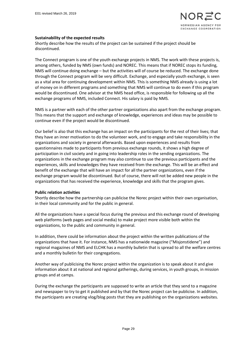#### **Sustainability of the expected results**

Shortly describe how the results of the project can be sustained if the project should be discontinued.

The Connect program is one of the youth exchange projects in NMS. The work with these projects is, among others, funded by NMS (own funds) and NOREC. This means that if NOREC stops its funding, NMS will continue doing exchange – but the activities will of course be reduced. The exchange done through the Connect program will be very difficult. Exchange, and especially youth exchange, is seen as a vital area for continuing development within NMS. This is something NMS already is using a lot of money on in different programs and something that NMS will continue to do even if this program would be discontinued. One advisor at the NMS head office, is responsible for following up all the exchange programs of NMS, included Connect. His salary is paid by NMS.

NMS is a partner with each of the other partner organizations also apart from the exchange program. This means that the support and exchange of knowledge, experiences and ideas may be possible to continue even if the project would be discontinued.

Our belief is also that this exchange has an impact on the participants for the rest of their lives; that they have an inner motivation to do the volunteer work, and to engage and take responsibility in the organizations and society in general afterwards. Based upon experiences and results from questionnaires made to participants from previous exchange rounds, it shows a high degree of participation in civil society and in going into leadership roles in the sending organizations. The organizations in the exchange program may also continue to use the previous participants and the experiences, skills and knowledges they have received from the exchange. This will be an effect and benefit of the exchange that will have an impact for all the partner organizations, even if the exchange program would be discontinued. But of course, there will not be added new people in the organizations that has received the experience, knowledge and skills that the program gives.

#### **Public relation activities**

Shortly describe how the partnership can publicise the Norec project within their own organisation, in their local community and for the public in general.

All the organizations have a special focus during the previous and this exchange round of developing web platforms (web pages and social media) to make project more visible both within the organizations, to the public and community in general.

In addition, there could be information about the project within the written publications of the organizations that have it. For instance, NMS has a nationwide magazine ("Misjonstidene") and regional magazines of NMS and ELCHK has a monthly bulletin that is spread to all the welfare centres and a monthly bulletin for their congregations.

Another way of publicising the Norec project within the organization is to speak about it and give information about it at national and regional gatherings, during services, in youth groups, in mission groups and at camps.

During the exchange the participants are supposed to write an article that they send to a magazine and newspaper to try to get it published and by that the Norec project can be publicise. In addition, the participants are creating vlog/blog posts that they are publishing on the organizations websites.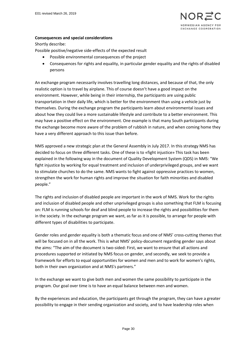

#### **Consequences and special considerations**

#### Shortly describe:

Possible positive/negative side-effects of the expected result

- Possible environmental consequences of the project
- Consequences for rights and equality, in particular gender equality and the rights of disabled persons

An exchange program necessarily involves travelling long distances, and because of that, the only realistic option is to travel by airplane. This of course doesn't have a good impact on the environment. However, while being in their internship, the participants are using public transportation in their daily life, which is better for the environment than using a vehicle just by themselves. During the exchange program the participants learn about environmental issues and about how they could live a more sustainable lifestyle and contribute to a better environment. This may have a positive effect on the environment. One example is that many South participants during the exchange become more aware of the problem of rubbish in nature, and when coming home they have a very different approach to this issue than before.

NMS approved a new strategic plan at the General Assembly in July 2017. In this strategy NMS has decided to focus on three different tasks. One of these is to «fight injustice» This task has been explained in the following way in the document of Quality Development System (QDS) in NMS: "We fight injustice by working for equal treatment and inclusion of underprivileged groups, and we want to stimulate churches to do the same. NMS wants to fight against oppressive practices to women, strengthen the work for human rights and improve the situation for faith minorities and disabled people."

The rights and inclusion of disabled people are important in the work of NMS. Work for the rights and inclusion of disabled people and other unprivileged groups is also something that FLM is focusing on: FLM is running schools for deaf and blind people to increase the rights and possibilities for them in the society. In the exchange program we want, as far as it is possible, to arrange for people with different types of disabilities to participate.

Gender roles and gender equality is both a thematic focus and one of NMS' cross-cutting themes that will be focused on in all the work. This is what NMS' policy-document regarding gender says about the aims: "The aim of the document is two-sided: First, we want to ensure that all actions and procedures supported or initiated by NMS focus on gender, and secondly, we seek to provide a framework for efforts to equal opportunities for women and men and to work for women's rights, both in their own organization and at NMS's partners."

In the exchange we want to give both men and women the same possibility to participate in the program. Our goal over time is to have an equal balance between men and women.

By the experiences and education, the participants get through the program, they can have a greater possibility to engage in their sending organization and society, and to have leadership roles when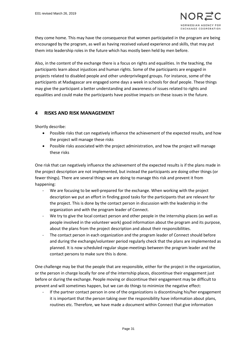they come home. This may have the consequence that women participated in the program are being encouraged by the program, as well as having received valued experience and skills, that may put them into leadership roles in the future which has mostly been held by men before.

Also, in the content of the exchange there is a focus on rights and equalities. In the teaching, the participants learn about injustices and human rights. Some of the participants are engaged in projects related to disabled people and other underprivileged groups. For instance, some of the participants at Madagascar are engaged some days a week in schools for deaf people. These things may give the participant a better understanding and awareness of issues related to rights and equalities and could make the participants have positive impacts on these issues in the future.

# **4 RISKS AND RISK MANAGEMENT**

Shortly describe:

- Possible risks that can negatively influence the achievement of the expected results, and how the project will manage these risks
- Possible risks associated with the project administration, and how the project will manage these risks

One risk that can negatively influence the achievement of the expected results is if the plans made in the project description are not implemented, but instead the participants are doing other things (or fewer things). There are several things we are doing to manage this risk and prevent it from happening:

- We are focusing to be well-prepared for the exchange. When working with the project description we put an effort in finding good tasks for the participants that are relevant for the project. This is done by the contact person in discussion with the leadership in the organization and with the program leader of Connect.
- We try to give the local contact person and other people in the internship places (as well as people involved in the volunteer work) good information about the program and its purpose, about the plans from the project description and about their responsibilities.
- The contact person in each organization and the program leader of Connect should before and during the exchange/volunteer period regularly check that the plans are implemented as planned. It is now scheduled regular skype-meetings between the program leader and the contact persons to make sure this is done.

One challenge may be that the people that are responsible, either for the project in the organization, or the person in charge locally for one of the internship places, discontinue their engagement just before or during the exchange. People moving or discontinue their engagement may be difficult to prevent and will sometimes happen, but we can do things to minimize the negative effect:

If the partner contact person in one of the organizations is discontinuing his/her engagement it is important that the person taking over the responsibility have information about plans, routines etc. Therefore, we have made a document within Connect that give information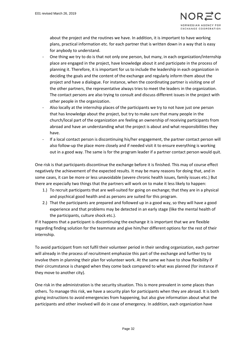about the project and the routines we have. In addition, it is important to have working plans, practical information etc. for each partner that is written down in a way that is easy for anybody to understand.

- One thing we try to do is that not only one person, but many, in each organization/internship place are engaged in the project, have knowledge about it and participate in the process of planning it. Therefore, it is important for us to include the leadership in each organization in deciding the goals and the content of the exchange and regularly inform them about the project and have a dialogue. For instance, when the coordinating partner is visiting one of the other partners, the representative always tries to meet the leaders in the organization. The contact persons are also trying to consult and discuss different issues in the project with other people in the organization.
- Also locally at the internship places of the participants we try to not have just one person that has knowledge about the project, but try to make sure that many people in the church/local part of the organization are feeling an ownership of receiving participants from abroad and have an understanding what the project is about and what responsibilities they have.
- If a local contact person is discontinuing his/her engagement, the partner contact person will also follow-up the place more closely and if needed visit it to ensure everything is working out in a good way. The same is for the program leader if a partner contact person would quit.

One risk is that participants discontinue the exchange before it is finished. This may of course effect negatively the achievement of the expected results. It may be many reasons for doing that, and in some cases, it can be more or less unavoidable (severe chronic health issues, family issues etc.) But there are especially two things that the partners will work on to make it less likely to happen:

- 1.) To recruit participants that are well-suited for going on exchange; that they are in a physical and psychical good health and as persons are suited for this program.
- 2.) That the participants are prepared and followed up in a good way, so they will have a good experience and that problems may be detected in an early stage (like the mental health of the participants, culture shock etc.).

If it happens that a participant is discontinuing the exchange it is important that we are flexible regarding finding solution for the teammate and give him/her different options for the rest of their internship.

To avoid participant from not fulfil their volunteer period in their sending organization, each partner will already in the process of recruitment emphasize this part of the exchange and further try to involve them in planning their plan for volunteer work. At the same we have to show flexibility if their circumstance is changed when they come back compared to what was planned (for instance if they move to another city).

One risk in the administration is the security situation. This is more prevalent in some places than others. To manage this risk, we have a security plan for participants when they are abroad. It is both giving instructions to avoid emergencies from happening, but also give information about what the participants and other involved will do in case of emergency. In addition, each organization have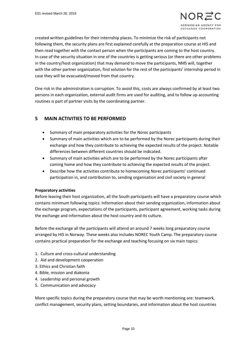created written guidelines for their internship places. To minimize the risk of participants not following them, the security plans are first explained carefully at the preparation course at HIS and then read together with the contact person when the participants are coming to the host country. In case of the security situation in one of the countries is getting serious (or there are other problems in the country/host organization) that may demand to move the participants, NMS will, together with the other partner organization, find solution for the rest of the participants' internship period in case they will be evacuated/moved from that country.

One risk in the administration is corruption. To avoid this, costs are always confirmed by at least two persons in each organization, external audit firms are used for auditing, and to follow up accounting routines is part of partner visits by the coordinating partner.

# **5 MAIN ACTIVITIES TO BE PERFORMED**

- Summary of main preparatory activities for the Norec participants
- Summary of main activities which are to be performed by the Norec participants during their exchange and how they contribute to achieving the expected results of the project. Notable differences between different countries should be indicated.
- Summary of main activities which are to be performed by the Norec participants after coming home and how they contribute to achieving the expected results of the project.
- Describe how the activities contribute to homecoming Norec participants' continued participation in, and contribution to, sending organisation and civil society in general

#### **Preparatory activities**

Before leaving their host organization, all the South participants will have a preparatory course which contains minimum following topics: Information about their sending organization, information about the exchange program, expectations of the participants, participant agreement, working tasks during the exchange and information about the host country and its culture.

Before the exchange all the participants will attend an around 7 weeks long preparatory course arranged by HIS in Norway. These weeks also includes NOREC Youth Camp. The preparatory course contains practical preparation for the exchange and teaching focusing on six main topics:

- 1. Culture and cross-cultural understanding
- 2. Aid and development cooperation
- 3. Ethics and Christian faith
- 4. Bible, mission and diakonia
- 4. Leadership and personal growth
- 5. Communication and advocacy

More specific topics during the preparatory course that may be worth mentioning are: teamwork, conflict management, security plans, setting boundaries, and information about the host countries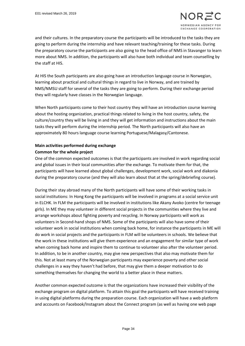and their cultures. In the preparatory course the participants will be introduced to the tasks they are going to perform during the internship and have relevant teaching/training for these tasks. During the preparatory course the participants are also going to the head office of NMS in Stavanger to learn more about NMS. In addition, the participants will also have both individual and team counselling by the staff at HIS.

At HIS the South participants are also going have an introduction language course in Norwegian, learning about practical and cultural things in regard to live in Norway, and are trained by NMS/NMSU staff for several of the tasks they are going to perform. During their exchange period they will regularly have classes in the Norwegian language.

When North participants come to their host country they will have an introduction course learning about the hosting organization, practical things related to living in the host country, safety, the culture/country they will be living in and they will get information and instructions about the main tasks they will perform during the internship period. The North participants will also have an approximately 80 hours language course learning Portuguese/Malagasy/Cantonese.

# **Main activities performed during exchange Common for the whole project**

One of the common expected outcomes is that the participants are involved in work regarding social and global issues in their local communities after the exchange. To motivate them for that, the participants will have learned about global challenges, development work, social work and diakonia during the preparatory course (and they will also learn about that at the spring/debriefing course).

During their stay abroad many of the North participants will have some of their working tasks in social institutions: In Hong Kong the participants will be involved in programs at a social service unit in ELCHK. In FLM the participants will be involved in institutions like Akany Avoko (centre for teenage girls). In ME they may volunteer in different social projects in the communities where they live and arrange workshops about fighting poverty and recycling. In Norway participants will work as volunteers in Second-hand shops of NMS. Some of the participants will also have some of their volunteer work in social institutions when coming back home, for instance the participants in ME will do work in social projects and the participants in FLM will be volunteers in schools. We believe that the work in these institutions will give them experience and an engagement for similar type of work when coming back home and inspire them to continue to volunteer also after the volunteer period. In addition, to be in another country, may give new perspectives that also may motivate them for this. Not at least many of the Norwegian participants may experience poverty and other social challenges in a way they haven't had before, that may give them a deeper motivation to do something themselves for changing the world to a better place in these matters.

Another common expected outcome is that the organizations have increased their visibility of the exchange program on digital platform. To attain this goal the participants will have received training in using digital platforms during the preparation course. Each organization will have a web platform and accounts on Facebook/Instagram about the Connect program (as well as having one web page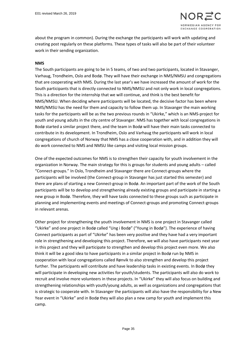

about the program in common). During the exchange the participants will work with updating and creating post regularly on these platforms. These types of tasks will also be part of their volunteer work in their sending organization.

#### **NMS**

The South participants are going to be in 5 teams, of two and two participants, located in Stavanger, Varhaug, Trondheim, Oslo and Bodø. They will have their exchange in NMS/NMSU and congregations that are cooperating with NMS. During the last year's we have increased the amount of work for the South participants that is directly connected to NMS/NMSU and not only work in local congregations. This is a direction for the internship that we will continue, and think is the best benefit for NMS/NMSU. When deciding where participants will be located, the decisive factor has been where NMS/NMSU has the need for them and capacity to follow them up. In Stavanger the main working tasks for the participants will be as the two previous rounds in "Ukirke," which is an NMS-project for youth and young adults in the city centre of Stavanger. NMS has together with local congregations in Bodø started a similar project there, and the team in Bodø will have their main tasks connected to contribute in its development. In Trondheim, Oslo and Varhaug the participants will work in local congregations of church of Norway that NMS has a close cooperation with, and in addition they will do work connected to NMS and NMSU like camps and visiting local mission groups.

One of the expected outcomes for NMS is to strengthen their capacity for youth involvement in the organization in Norway. The main strategy for this is groups for students and young adults – called "Connect-groups." In Oslo, Trondheim and Stavanger there are Connect-groups where the participants will be involved (the Connect-group in Stavanger has just started this semester) and there are plans of starting a new Connect-group in Bodø. An important part of the work of the South participants will be to develop and strengthening already existing groups and participate in starting a new group in Bodø. Therefore, they will have tasks connected to these groups such as participate in planning and implementing events and meetings of Connect-groups and promoting Connect-groups in relevant arenas.

Other project for strengthening the youth involvement in NMS is one project in Stavanger called "Ukirke" and one project in Bodø called "Ung i Bodø" ("Young in Bodø"). The experience of having Connect participants as part of "Ukirke" has been very positive and they have had a very important role in strengthening and developing this project. Therefore, we will also have participants next year in this project and they will participate to strengthen and develop this project even more. We also think it will be a good idea to have participants in a similar project in Bodø run by NMS in cooperation with local congregations called Rønvik to also strengthen and develop this project further. The participants will contribute and have leadership tasks in existing events. In Bodø they will participate in developing new activities for youth/students. The participants will also do work to recruit and involve more volunteers in these projects. In "Ukirke" they will also focus on building and strengthening relationships with youth/young adults, as well as organizations and congregations that is strategic to cooperate with. In Stavanger the participants will also have the responsibility for a New Year event in "Ukirke" and in Bodø they will also plan a new camp for youth and implement this camp.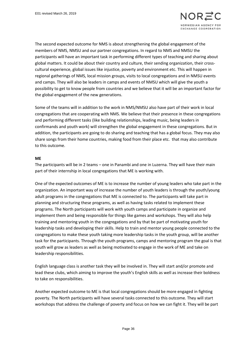

The second expected outcome for NMS is about strengthening the global engagement of the members of NMS, NMSU and our partner congregations. In regard to NMS and NMSU the participants will have an important task in performing different types of teaching and sharing about global matters. It could be about their country and culture, their sending organization, their crosscultural experience, global issues like injustice, poverty and environment etc. This will happen in regional gatherings of NMS, local mission groups, visits to local congregations and in NMSU events and camps. They will also be leaders in camps and events of NMSU which will give the youth a possibility to get to know people from countries and we believe that it will be an important factor for the global engagement of the new generations.

Some of the teams will in addition to the work in NMS/NMSU also have part of their work in local congregations that are cooperating with NMS. We believe that their presence in these congregations and performing different tasks (like building relationships, leading music, being leaders in confirmands and youth work) will strengthen the global engagement in these congregations. But in addition, the participants are going to do sharing and teaching that has a global focus. They may also share songs from their home countries, making food from their place etc. that may also contribute to this outcome.

#### **ME**

The participants will be in 2 teams – one in Panambi and one in Luzerna. They will have their main part of their internship in local congregations that ME is working with.

One of the expected outcomes of ME is to increase the number of young leaders who take part in the organization. An important way of increase the number of youth leaders is through the youth/young adult programs in the congregations that ME is connected to. The participants will take part in planning and structuring these programs, as well as having tasks related to implement these programs. The North participants will work with youth camps and participate in organize and implement them and being responsible for things like games and workshops. They will also help training and mentoring youth in the congregations and by that be part of motivating youth for leadership tasks and developing their skills. Help to train and mentor young people connected to the congregations to make these youth taking more leadership tasks in the youth group, will be another task for the participants. Through the youth programs, camps and mentoring program the goal is that youth will grow as leaders as well as being motivated to engage in the work of ME and take on leadership responsibilities.

English language class is another task they will be involved in. They will start and/or promote and lead these clubs, which aiming to improve the youth's English skills as well as increase their boldness to take on responsibilities.

Another expected outcome to ME is that local congregations should be more engaged in fighting poverty. The North participants will have several tasks connected to this outcome. They will start workshops that address the challenge of poverty and focus on how we can fight it. They will be part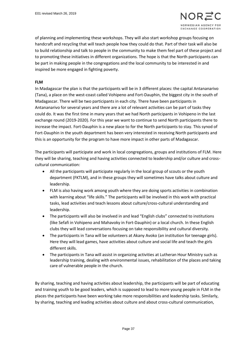of planning and implementing these workshops. They will also start workshop groups focusing on handcraft and recycling that will teach people how they could do that. Part of their task will also be to build relationship and talk to people in the community to make them feel part of these project and to promoting these initiatives in different organizations. The hope is that the North participants can be part in making people in the congregations and the local community to be interested in and inspired be more engaged in fighting poverty.

#### **FLM**

In Madagascar the plan is that the participants will be in 3 different places: the capital Antananarivo (Tana), a place on the west-coast called Vohipeno and Fort-Dauphin, the biggest city in the south of Madagascar. There will be two participants in each city. There have been participants in Antananarivo for several years and there are a lot of relevant activities can be part of tasks they could do. It was the first time in many years that we had North participants in Vohipeno in the last exchange round (2019-2020). For this year we want to continue to send North participants there to increase the impact. Fort-Dauphin is a new place to for the North participants to stay. This synod of Fort-Dauphin in the youth department has been very interested in receiving North participants and this is an opportunity for the program to have more impact in other parts of Madagascar.

The participants will participate and work in local congregations, groups and institutions of FLM. Here they will be sharing, teaching and having activities connected to leadership and/or culture and crosscultural communication:

- All the participants will participate regularly in the local group of scouts or the youth department (FKTLM), and in these groups they will sometimes have talks about culture and leadership.
- FLM is also having work among youth where they are doing sports activities in combination with learning about "life skills." The participants will be involved in this work with practical tasks, lead activities and teach lessons about culture/cross-cultural understanding and leadership.
- The participants will also be involved in and lead "English clubs" connected to institutions (like Sefafi in Vohipeno and Mahavoky in Fort-Dauphin) or a local church. In these English clubs they will lead conversations focusing on take responsibility and cultural diversity.
- The participants in Tana will be volunteers at Akany Avoko (an institution for teenage girls). Here they will lead games, have activities about culture and social life and teach the girls different skills.
- The participants in Tana will assist in organizing activities at Lutheran Hour Ministry such as leadership training, dealing with environmental issues, rehabilitation of the places and taking care of vulnerable people in the church.

By sharing, teaching and having activities about leadership, the participants will be part of educating and training youth to be good leaders, which is supposed to lead to more young people in FLM in the places the participants have been working take more responsibilities and leadership tasks. Similarly, by sharing, teaching and leading activities about culture and about cross-cultural communication,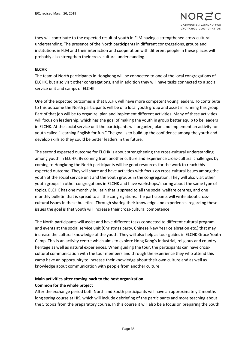

they will contribute to the expected result of youth in FLM having a strengthened cross-cultural understanding. The presence of the North participants in different congregations, groups and institutions in FLM and their interaction and cooperation with different people in these places will probably also strengthen their cross-cultural understanding.

#### **ELCHK**

The team of North participants in Hongkong will be connected to one of the local congregations of ELCHK, but also visit other congregations, and in addition they will have tasks connected to a social service unit and camps of ELCHK.

One of the expected outcomes is that ELCHK will have more competent young leaders. To contribute to this outcome the North participants will be of a local youth group and assist in running this group. Part of that job will be to organize, plan and implement different activities. Many of these activities will focus on leadership, which has the goal of making the youth in group better equip to be leaders in ELCHK. At the social service unit the participants will organize, plan and implement an activity for youth called "Learning English for fun." The goal is to build up the confidence among the youth and develop skills so they could be better leaders in the future.

The second expected outcome for ELCHK is about strengthening the cross-cultural understanding among youth in ELCHK. By coming from another culture and experience cross-cultural challenges by coming to Hongkong the North participants will be good resources for the work to reach this expected outcome. They will share and have activities with focus on cross-cultural issues among the youth at the social service unit and the youth groups in the congregation. They will also visit other youth groups in other congregations in ELCHK and have workshops/sharing about the same type of topics. ELCHK has one monthly bulletin that is spread to all the social welfare centres, and one monthly bulletin that is spread to all the congregations. The participants will write about crosscultural issues in these bulletins. Through sharing their knowledge and experiences regarding these issues the goal is that youth will increase their cross-cultural competence.

The North participants will assist and have different tasks connected to different cultural program and events at the social service unit (Christmas party, Chinese New Year celebration etc.) that may increase the cultural knowledge of the youth. They will also help as tour guides in ELCHK Grace Youth Camp. This is an activity centre which aims to explore Hong Kong's industrial, religious and country heritage as well as natural experiences. When guiding the tour, the participants can have crosscultural communication with the tour members and through the experience they who attend this camp have an opportunity to increase their knowledge about their own culture and as well as knowledge about communication with people from another culture.

# **Main activities after coming back to the host organization**

#### **Common for the whole project**

After the exchange period both North and South participants will have an approximately 2 months long spring course at HIS, which will include debriefing of the participants and more teaching about the 5 topics from the preparatory course. In this course it will also be a focus on preparing the South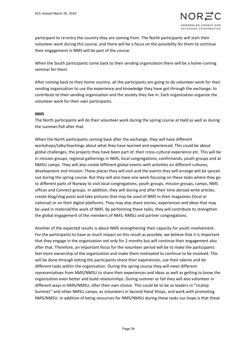participant to re-entry the country they are coming from. The North participants will start their volunteer work during this course, and there will be a focus on the possibility for them to continue their engagement in NMS will be part of the course.

When the South participants come back to their sending organization there will be a home-coming seminar for them.

After coming back to their home country, all the participants are going to do volunteer work for their sending organization to use the experience and knowledge they have got through the exchange, to contribute to their sending organization and the society they live in. Each organization organize the volunteer work for their own participants.

#### **NMS**

The North participants will do their volunteer work during the spring course at Hald as well as during the summer/fall after that.

When the North participants coming back after the exchange, they will have different workshops/talks/teachings about what they have learned and experienced. This could be about global challenges, the projects they have been part of, their cross-cultural experience etc. This will be in mission groups, regional gatherings in NMS, local congregations, confirmands, youth groups and at NMSU camps. They will also create different global events with activities on different cultures, development and mission. These places they will visit and the events they will arrange will be spread out during the spring course. But they will also have one week focusing on these tasks where they go to different parts of Norway to visit local congregations, youth groups, mission groups, camps, NMS offices and Connect-groups. In addition, they will during and after their time abroad write articles, create blog/vlog posts and take pictures that may be used of NMS in their magazines (local or national) or on their digital platforms. They may also share stories, experiences and ideas that may be used in material/the work of NMS. By performing these tasks, they will contribute to strengthen the global engagement of the members of NMS, NMSU and partner congregations.

Another of the expected results is about NMS strengthening their capacity for youth involvement. For the participants to have as much impact on this result as possible, we believe that it is important that they engage in the organization not only for 2 months but will continue their engagement also after that. Therefore, an important focus for the volunteer period will be to make the participants feel more ownership of the organization and make them motivated to continue to be involved. This will be done through letting the participants share their experiences, use their talents and do different tasks within the organization. During the spring course they will meet different representatives from NMS/NMSU to share their experiences and ideas as well as getting to know the organization even better and build relationships. During summer or fall they will also volunteer in different ways in NMS/NMSU, after their own choice. This could be to be as leaders in "Ucamp Summer" and other NMSU camps, as volunteers in Second Hand Shops, and work with promoting NMS/NMSU. In addition of being resources for NMS/NMSU during these tasks our hope is that these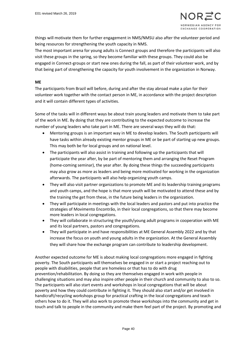things will motivate them for further engagement in NMS/NMSU also after the volunteer period and being resources for strengthening the youth capacity in NMS.

The most important arena for young adults is Connect groups and therefore the participants will also visit these groups in the spring, so they become familiar with these groups. They could also be engaged in Connect-groups or start new ones during the fall, as part of their volunteer work, and by that being part of strengthening the capacity for youth involvement in the organization in Norway.

#### **ME**

The participants from Brazil will before, during and after the stay abroad make a plan for their volunteer work together with the contact person in ME, in accordance with the project description and it will contain different types of activities.

Some of the tasks will in different ways be about train young leaders and motivate them to take part of the work in ME. By doing that they are contributing to the expected outcome to increase the number of young leaders who take part in ME. There are several ways they will do that:

- Mentoring groups is an important way in ME to develop leaders. The South participants will have tasks within already existing mentor groups in ME or be part of starting up new groups. This may both be for local groups and on national level.
- The participants will also assist in training and following up the participants that will participate the year after, by be part of mentoring them and arranging the Reset Program (home-coming seminar), the year after. By doing these things the succeeding participants may also grow as more as leaders and being more motivated for working in the organization afterwards. The participants will also help organizing youth camps.
- They will also visit partner organizations to promote ME and its leadership training programs and youth camps, and the hope is that more youth will be motivated to attend these and by the training the get from these, in the future being leaders in the organization.
- They will participate in meetings with the local leaders and pastors and put into practice the strategies of Movimento Encontrão, in their local congregations, so that there may become more leaders in local congregations.
- They will collaborate in structuring the youth/young adult programs in cooperation with ME and its local partners, pastors and congregations.
- They will participate in and have responsibilities at ME General Assembly 2022 and by that increase the focus on youth and young adults in the organization. At the General Assembly they will share how the exchange program can contribute to leadership development.

Another expected outcome for ME is about making local congregations more engaged in fighting poverty. The South participants will themselves be engaged in or start a project reaching out to people with disabilities, people that are homeless or that has to do with drug prevention/rehabilitation. By doing so they are themselves engaged in work with people in challenging situations and may also inspire other people in their church and community to also to so. The participants will also start events and workshops in local congregations that will be about poverty and how they could contribute in fighting it. They should also start and/or get involved in handicraft/recycling workshops group for practical crafting in the local congregations and teach others how to do it. They will also work to promote these workshops into the community and get in touch and talk to people in the community and make them feel part of the project. By promoting and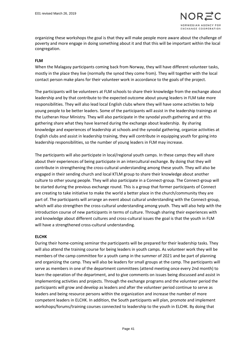

organizing these workshops the goal is that they will make people more aware about the challenge of poverty and more engage in doing something about it and that this will be important within the local congregation.

#### **FLM**

When the Malagasy participants coming back from Norway, they will have different volunteer tasks, mostly in the place they live (normally the synod they come from). They will together with the local contact person make plans for their volunteer work in accordance to the goals of the project.

The participants will be volunteers at FLM schools to share their knowledge from the exchange about leadership and by that contribute to the expected outcome about young leaders in FLM take more responsibilities. They will also lead local English clubs where they will have some activities to help young people to be better leaders. Some of the participants will assist in the leadership trainings at the Lutheran Hour Ministry. They will also participate in the synodal youth gathering and at this gathering share what they have learned during the exchange about leadership. By sharing knowledge and experiences of leadership at schools and the synodal gathering, organize activities at English clubs and assist in leadership training, they will contribute in equipping youth for going into leadership responsibilities, so the number of young leaders in FLM may increase.

The participants will also participate in local/regional youth camps. In these camps they will share about their experiences of being participate in an intercultural exchange. By doing that they will contribute in strengthening the cross-cultural understanding among these youth. They will also be engaged in their sending church and local KTLM group to share their knowledge about another culture to other young people. They will also participate in a Connect-group. The Connect-group will be started during the previous exchange round. This is a group that former participants of Connect are creating to take initiative to make the world a better place in the church/community they are part of. The participants will arrange an event about cultural understanding with the Connect-group, which will also strengthen the cross-cultural understanding among youth. They will also help with the introduction course of new participants in terms of culture. Through sharing their experiences with and knowledge about different cultures and cross-cultural issues the goal is that the youth in FLM will have a strengthened cross-cultural understanding.

#### **ELCHK**

During their home-coming seminar the participants will be prepared for their leadership tasks. They will also attend the training course for being leaders in youth camps. As volunteer work they will be members of the camp committee for a youth camp in the summer of 2021 and be part of planning and organizing the camp. They will also be leaders for small groups at the camp. The participants will serve as members in one of the department committees (attend meeting once every 2nd month) to learn the operation of the department, and to give comments on issues being discussed and assist in implementing activities and projects. Through the exchange programs and the volunteer period the participants will grow and develop as leaders and after the volunteer period continue to serve as leaders and being resource persons within the organization and increase the number of more competent leaders in ELCHK. In addition, the South participants will plan, promote and implement workshops/forums/training courses connected to leadership to the youth in ELCHK. By doing that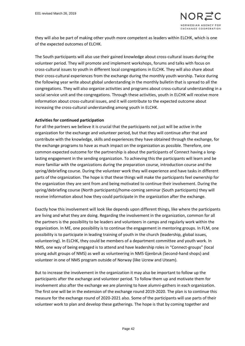they will also be part of making other youth more competent as leaders within ELCHK, which is one of the expected outcomes of ELCHK.

The South participants will also use their gained knowledge about cross-cultural issues during the volunteer period. They will promote and implement workshops, forums and talks with focus on cross-cultural issues to youth in different local congregations in ELCHK. They will also share about their cross-cultural experiences from the exchange during the monthly youth worship. Twice during the following year write about global understanding in the monthly bulletin that is spread to all the congregations. They will also organize activities and programs about cross-cultural understanding in a social service unit and the congregations. Through these activities, youth in ELCHK will receive more information about cross-cultural issues, and it will contribute to the expected outcome about increasing the cross-cultural understanding among youth in ELCHK.

#### **Activities for continued participation**

For all the partners we believe it is crucial that the participants not just will be active in the organization for the exchange and volunteer period, but that they will continue after that and contribute with the knowledge, skills and experiences they have obtained through the exchange, for the exchange programs to have as much impact on the organization as possible. Therefore, one common expected outcome for the partnership is about the participants of Connect having a longlasting engagement in the sending organization. To achieving this the participants will learn and be more familiar with the organizations during the preparation course, introduction course and the spring/debriefing course. During the volunteer work they will experience and have tasks in different parts of the organization. The hope is that these things will make the participants feel ownership for the organization they are sent from and being motivated to continue their involvement. During the spring/debriefing course (North participants)/home-coming seminar (South participants) they will receive information about how they could participate in the organization after the exchange.

Exactly how this involvement will look like depends upon different things, like where the participants are living and what they are doing. Regarding the involvement in the organization, common for all the partners is the possibility to be leaders and volunteers in camps and regularly work within the organization. In ME, one possibility is to continue the engagement in mentoring groups. In FLM, one possibility is to participate in leading training of youth in the church (leadership, global issues, volunteering). In ELCHK, they could be members of a department committee and youth work. In NMS, one way of being engaged is to attend and have leadership roles in "Connect-groups" (local young adult groups of NMS) as well as volunteering in NMS Gjenbruk (Second-hand shops) and volunteer in one of NMS program outside of Norway (like Ucrew and Uteam).

But to increase the involvement in the organization it may also be important to follow up the participants after the exchange and volunteer period. To follow them up and motivate them for involvement also after the exchange we are planning to have alumni-gathers in each organization. The first one will be in the extension of the exchange round 2019-2020. The plan is to continue this measure for the exchange round of 2020-2021 also. Some of the participants will use parts of their volunteer work to plan and develop these gatherings. The hope is that by coming together and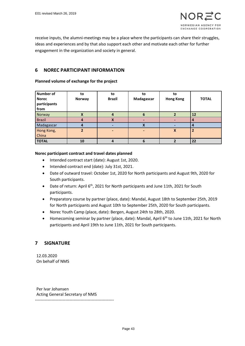receive inputs, the alumni-meetings may be a place where the participants can share their struggles, ideas and experiences and by that also support each other and motivate each other for further engagement in the organization and society in general.

# **6 NOREC PARTICIPANT INFORMATION**

#### **Planned volume of exchange for the project**

| Number of<br><b>Norec</b><br>participants<br>from | to<br>Norway  | to<br><b>Brazil</b> | to<br>Madagascar | to<br><b>Hong Kong</b> | <b>TOTAL</b> |
|---------------------------------------------------|---------------|---------------------|------------------|------------------------|--------------|
| Norway                                            |               | 4                   | 6                |                        | 12           |
| <b>Brazil</b>                                     | 4             | X                   |                  |                        | 4            |
| Madagascar                                        |               |                     | X                |                        |              |
| Hong Kong,                                        | $\mathfrak z$ | -                   | ۰                | X                      |              |
| China                                             |               |                     |                  |                        |              |
| <b>TOTAL</b>                                      | 10            |                     | 6                |                        | 22           |

#### **Norec participant contract and travel dates planned**

- Intended contract start (date): August 1st, 2020.
- Intended contract end (date): July 31st, 2021.
- Date of outward travel: October 1st, 2020 for North participants and August 9th, 2020 for South participants.
- Date of return: April 6<sup>th</sup>, 2021 for North participants and June 11th, 2021 for South participants.
- Preparatory course by partner (place, date): Mandal, August 18th to September 25th, 2019 for North participants and August 10th to September 25th, 2020 for South participants.
- Norec Youth Camp (place, date): Bergen, August 24th to 28th, 2020.
- Homecoming seminar by partner (place, date): Mandal, April 6<sup>th</sup> to June 11th, 2021 for North participants and April 19th to June 11th, 2021 for South participants.

# **7 SIGNATURE**

12.03.2020 On behalf of NMS

Per Ivar Johansen Acting General Secretary of NMS ---------------------------------------------------------